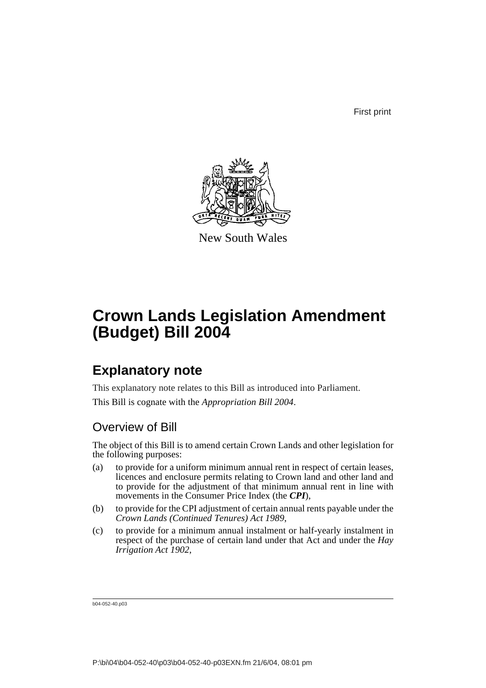First print



New South Wales

# **Crown Lands Legislation Amendment (Budget) Bill 2004**

# **Explanatory note**

This explanatory note relates to this Bill as introduced into Parliament.

This Bill is cognate with the *Appropriation Bill 2004*.

## Overview of Bill

The object of this Bill is to amend certain Crown Lands and other legislation for the following purposes:

- (a) to provide for a uniform minimum annual rent in respect of certain leases, licences and enclosure permits relating to Crown land and other land and to provide for the adjustment of that minimum annual rent in line with movements in the Consumer Price Index (the *CPI*),
- (b) to provide for the CPI adjustment of certain annual rents payable under the *Crown Lands (Continued Tenures) Act 1989*,
- (c) to provide for a minimum annual instalment or half-yearly instalment in respect of the purchase of certain land under that Act and under the *Hay Irrigation Act 1902*,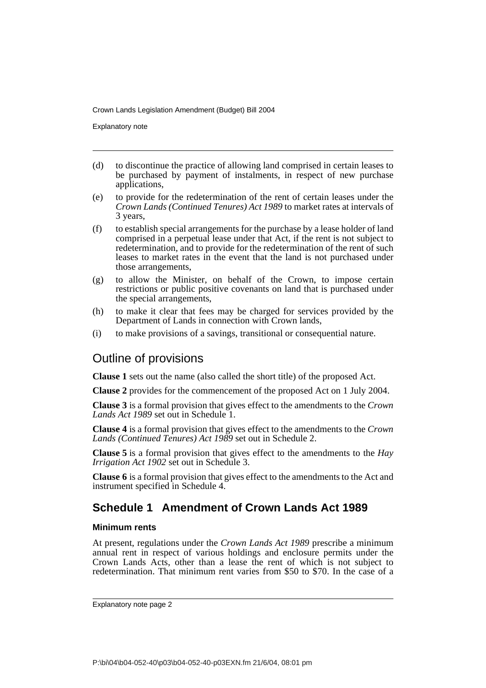Explanatory note

- (d) to discontinue the practice of allowing land comprised in certain leases to be purchased by payment of instalments, in respect of new purchase applications,
- (e) to provide for the redetermination of the rent of certain leases under the *Crown Lands (Continued Tenures) Act 1989* to market rates at intervals of 3 years,
- (f) to establish special arrangements for the purchase by a lease holder of land comprised in a perpetual lease under that Act, if the rent is not subject to redetermination, and to provide for the redetermination of the rent of such leases to market rates in the event that the land is not purchased under those arrangements,
- (g) to allow the Minister, on behalf of the Crown, to impose certain restrictions or public positive covenants on land that is purchased under the special arrangements,
- (h) to make it clear that fees may be charged for services provided by the Department of Lands in connection with Crown lands,
- (i) to make provisions of a savings, transitional or consequential nature.

## Outline of provisions

**Clause 1** sets out the name (also called the short title) of the proposed Act.

**Clause 2** provides for the commencement of the proposed Act on 1 July 2004.

**Clause 3** is a formal provision that gives effect to the amendments to the *Crown Lands Act 1989* set out in Schedule 1.

**Clause 4** is a formal provision that gives effect to the amendments to the *Crown Lands (Continued Tenures) Act 1989* set out in Schedule 2.

**Clause 5** is a formal provision that gives effect to the amendments to the *Hay Irrigation Act 1902* set out in Schedule 3.

**Clause 6** is a formal provision that gives effect to the amendments to the Act and instrument specified in Schedule 4.

## **Schedule 1 Amendment of Crown Lands Act 1989**

### **Minimum rents**

At present, regulations under the *Crown Lands Act 1989* prescribe a minimum annual rent in respect of various holdings and enclosure permits under the Crown Lands Acts, other than a lease the rent of which is not subject to redetermination. That minimum rent varies from \$50 to \$70. In the case of a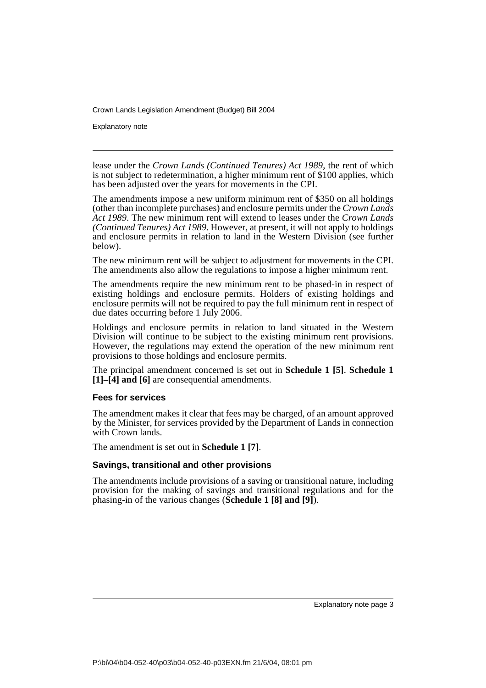Explanatory note

lease under the *Crown Lands (Continued Tenures) Act 1989*, the rent of which is not subject to redetermination, a higher minimum rent of \$100 applies, which has been adjusted over the years for movements in the CPI.

The amendments impose a new uniform minimum rent of \$350 on all holdings (other than incomplete purchases) and enclosure permits under the *Crown Lands Act 1989*. The new minimum rent will extend to leases under the *Crown Lands (Continued Tenures) Act 1989*. However, at present, it will not apply to holdings and enclosure permits in relation to land in the Western Division (see further below).

The new minimum rent will be subject to adjustment for movements in the CPI. The amendments also allow the regulations to impose a higher minimum rent.

The amendments require the new minimum rent to be phased-in in respect of existing holdings and enclosure permits. Holders of existing holdings and enclosure permits will not be required to pay the full minimum rent in respect of due dates occurring before 1 July 2006.

Holdings and enclosure permits in relation to land situated in the Western Division will continue to be subject to the existing minimum rent provisions. However, the regulations may extend the operation of the new minimum rent provisions to those holdings and enclosure permits.

The principal amendment concerned is set out in **Schedule 1 [5]**. **Schedule 1 [1]–[4] and [6]** are consequential amendments.

### **Fees for services**

The amendment makes it clear that fees may be charged, of an amount approved by the Minister, for services provided by the Department of Lands in connection with Crown lands.

The amendment is set out in **Schedule 1 [7]**.

### **Savings, transitional and other provisions**

The amendments include provisions of a saving or transitional nature, including provision for the making of savings and transitional regulations and for the phasing-in of the various changes (**Schedule 1 [8] and [9]**).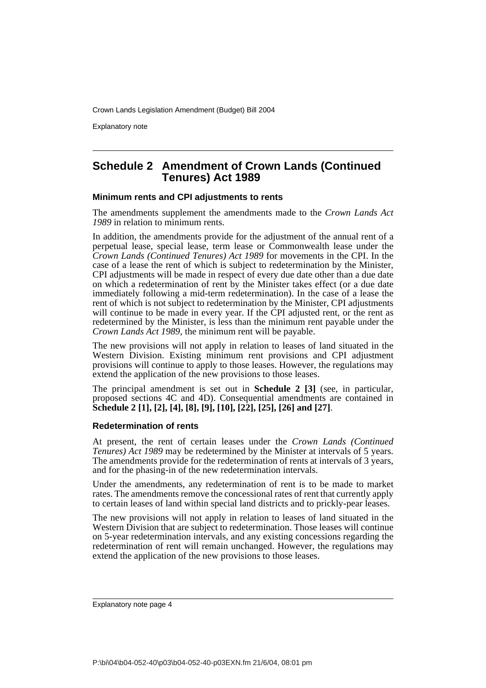Explanatory note

### **Schedule 2 Amendment of Crown Lands (Continued Tenures) Act 1989**

### **Minimum rents and CPI adjustments to rents**

The amendments supplement the amendments made to the *Crown Lands Act 1989* in relation to minimum rents.

In addition, the amendments provide for the adjustment of the annual rent of a perpetual lease, special lease, term lease or Commonwealth lease under the *Crown Lands (Continued Tenures) Act 1989* for movements in the CPI. In the case of a lease the rent of which is subject to redetermination by the Minister, CPI adjustments will be made in respect of every due date other than a due date on which a redetermination of rent by the Minister takes effect (or a due date immediately following a mid-term redetermination). In the case of a lease the rent of which is not subject to redetermination by the Minister, CPI adjustments will continue to be made in every year. If the CPI adjusted rent, or the rent as redetermined by the Minister, is less than the minimum rent payable under the *Crown Lands Act 1989*, the minimum rent will be payable.

The new provisions will not apply in relation to leases of land situated in the Western Division. Existing minimum rent provisions and CPI adjustment provisions will continue to apply to those leases. However, the regulations may extend the application of the new provisions to those leases.

The principal amendment is set out in **Schedule 2 [3]** (see, in particular, proposed sections 4C and 4D). Consequential amendments are contained in **Schedule 2 [1], [2], [4], [8], [9], [10], [22], [25], [26] and [27]**.

### **Redetermination of rents**

At present, the rent of certain leases under the *Crown Lands (Continued Tenures) Act 1989* may be redetermined by the Minister at intervals of 5 years. The amendments provide for the redetermination of rents at intervals of 3 years, and for the phasing-in of the new redetermination intervals.

Under the amendments, any redetermination of rent is to be made to market rates. The amendments remove the concessional rates of rent that currently apply to certain leases of land within special land districts and to prickly-pear leases.

The new provisions will not apply in relation to leases of land situated in the Western Division that are subject to redetermination. Those leases will continue on 5-year redetermination intervals, and any existing concessions regarding the redetermination of rent will remain unchanged. However, the regulations may extend the application of the new provisions to those leases.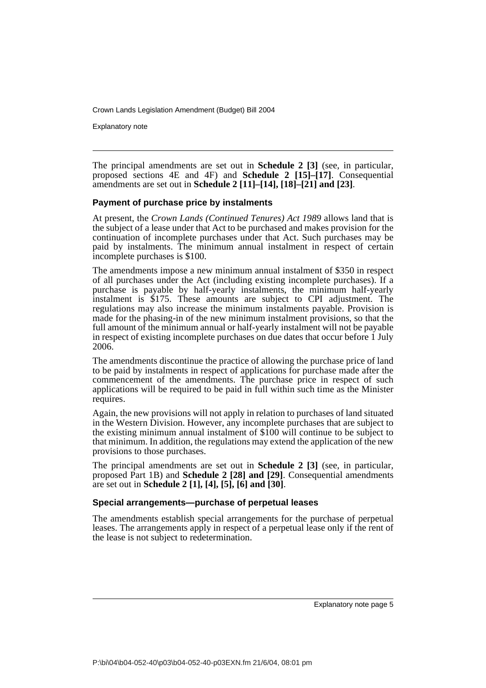Explanatory note

The principal amendments are set out in **Schedule 2 [3]** (see, in particular, proposed sections 4E and 4F) and **Schedule 2 [15]–[17]**. Consequential amendments are set out in **Schedule 2 [11]–[14], [18]–[21] and [23]**.

### **Payment of purchase price by instalments**

At present, the *Crown Lands (Continued Tenures) Act 1989* allows land that is the subject of a lease under that Act to be purchased and makes provision for the continuation of incomplete purchases under that Act. Such purchases may be paid by instalments. The minimum annual instalment in respect of certain incomplete purchases is \$100.

The amendments impose a new minimum annual instalment of \$350 in respect of all purchases under the Act (including existing incomplete purchases). If a purchase is payable by half-yearly instalments, the minimum half-yearly instalment is \$175. These amounts are subject to CPI adjustment. The regulations may also increase the minimum instalments payable. Provision is made for the phasing-in of the new minimum instalment provisions, so that the full amount of the minimum annual or half-yearly instalment will not be payable in respect of existing incomplete purchases on due dates that occur before 1 July 2006.

The amendments discontinue the practice of allowing the purchase price of land to be paid by instalments in respect of applications for purchase made after the commencement of the amendments. The purchase price in respect of such applications will be required to be paid in full within such time as the Minister requires.

Again, the new provisions will not apply in relation to purchases of land situated in the Western Division. However, any incomplete purchases that are subject to the existing minimum annual instalment of \$100 will continue to be subject to that minimum. In addition, the regulations may extend the application of the new provisions to those purchases.

The principal amendments are set out in **Schedule 2 [3]** (see, in particular, proposed Part 1B) and **Schedule 2 [28] and [29]**. Consequential amendments are set out in **Schedule 2 [1], [4], [5], [6] and [30]**.

### **Special arrangements—purchase of perpetual leases**

The amendments establish special arrangements for the purchase of perpetual leases. The arrangements apply in respect of a perpetual lease only if the rent of the lease is not subject to redetermination.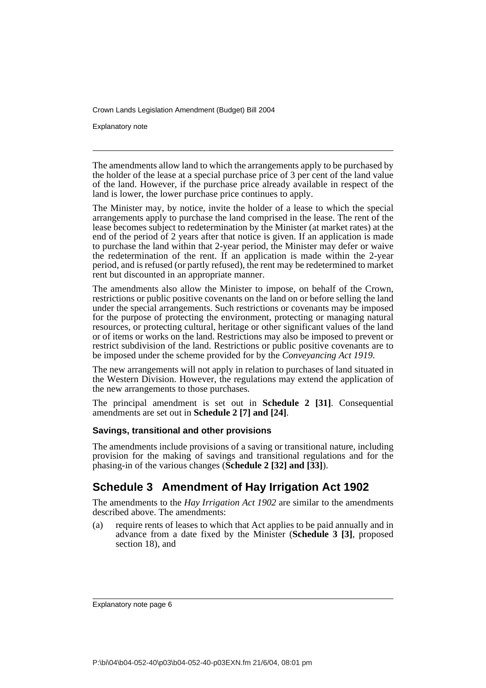Explanatory note

The amendments allow land to which the arrangements apply to be purchased by the holder of the lease at a special purchase price of 3 per cent of the land value of the land. However, if the purchase price already available in respect of the land is lower, the lower purchase price continues to apply.

The Minister may, by notice, invite the holder of a lease to which the special arrangements apply to purchase the land comprised in the lease. The rent of the lease becomes subject to redetermination by the Minister (at market rates) at the end of the period of 2 years after that notice is given. If an application is made to purchase the land within that 2-year period, the Minister may defer or waive the redetermination of the rent. If an application is made within the 2-year period, and is refused (or partly refused), the rent may be redetermined to market rent but discounted in an appropriate manner.

The amendments also allow the Minister to impose, on behalf of the Crown, restrictions or public positive covenants on the land on or before selling the land under the special arrangements. Such restrictions or covenants may be imposed for the purpose of protecting the environment, protecting or managing natural resources, or protecting cultural, heritage or other significant values of the land or of items or works on the land. Restrictions may also be imposed to prevent or restrict subdivision of the land. Restrictions or public positive covenants are to be imposed under the scheme provided for by the *Conveyancing Act 1919*.

The new arrangements will not apply in relation to purchases of land situated in the Western Division. However, the regulations may extend the application of the new arrangements to those purchases.

The principal amendment is set out in **Schedule 2 [31]**. Consequential amendments are set out in **Schedule 2 [7] and [24]**.

### **Savings, transitional and other provisions**

The amendments include provisions of a saving or transitional nature, including provision for the making of savings and transitional regulations and for the phasing-in of the various changes (**Schedule 2 [32] and [33]**).

### **Schedule 3 Amendment of Hay Irrigation Act 1902**

The amendments to the *Hay Irrigation Act 1902* are similar to the amendments described above. The amendments:

(a) require rents of leases to which that Act applies to be paid annually and in advance from a date fixed by the Minister (**Schedule 3 [3]**, proposed section 18), and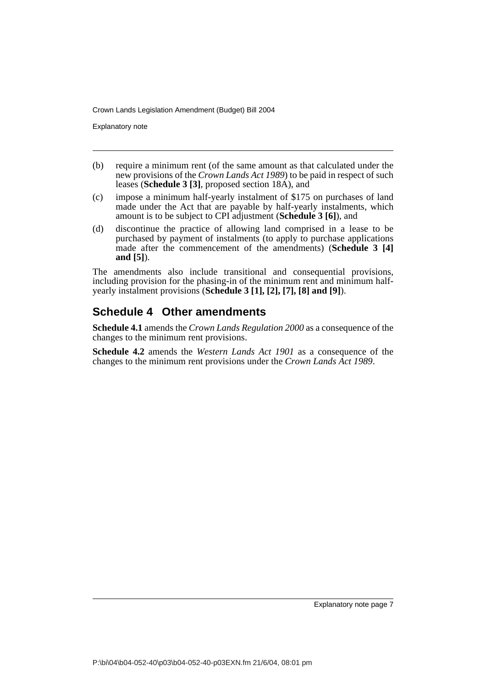Explanatory note

- (b) require a minimum rent (of the same amount as that calculated under the new provisions of the *Crown Lands Act 1989*) to be paid in respect of such leases (**Schedule 3 [3]**, proposed section 18A), and
- (c) impose a minimum half-yearly instalment of \$175 on purchases of land made under the Act that are payable by half-yearly instalments, which amount is to be subject to CPI adjustment (**Schedule 3 [6]**), and
- (d) discontinue the practice of allowing land comprised in a lease to be purchased by payment of instalments (to apply to purchase applications made after the commencement of the amendments) (**Schedule 3 [4] and [5]**).

The amendments also include transitional and consequential provisions, including provision for the phasing-in of the minimum rent and minimum halfyearly instalment provisions (**Schedule 3 [1], [2], [7], [8] and [9]**).

## **Schedule 4 Other amendments**

**Schedule 4.1** amends the *Crown Lands Regulation 2000* as a consequence of the changes to the minimum rent provisions.

**Schedule 4.2** amends the *Western Lands Act 1901* as a consequence of the changes to the minimum rent provisions under the *Crown Lands Act 1989*.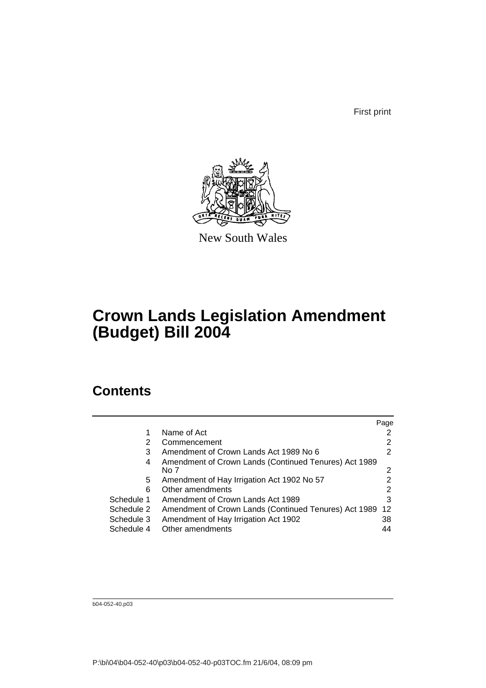First print



New South Wales

# **Crown Lands Legislation Amendment (Budget) Bill 2004**

# **Contents**

|            |                                                       | Page |
|------------|-------------------------------------------------------|------|
|            | Name of Act                                           |      |
| 2          | Commencement                                          |      |
| 3          | Amendment of Crown Lands Act 1989 No 6                | 2    |
| 4          | Amendment of Crown Lands (Continued Tenures) Act 1989 |      |
|            | No 7                                                  | 2    |
| 5          | Amendment of Hay Irrigation Act 1902 No 57            |      |
| 6          | Other amendments                                      | 2    |
| Schedule 1 | Amendment of Crown Lands Act 1989                     | 3    |
| Schedule 2 | Amendment of Crown Lands (Continued Tenures) Act 1989 | -12  |
| Schedule 3 | Amendment of Hay Irrigation Act 1902                  | 38   |
| Schedule 4 | Other amendments                                      | 44   |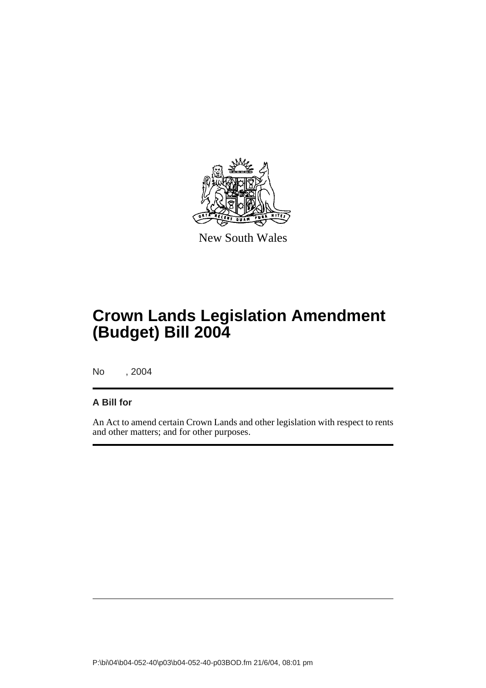

New South Wales

# **Crown Lands Legislation Amendment (Budget) Bill 2004**

No , 2004

### **A Bill for**

An Act to amend certain Crown Lands and other legislation with respect to rents and other matters; and for other purposes.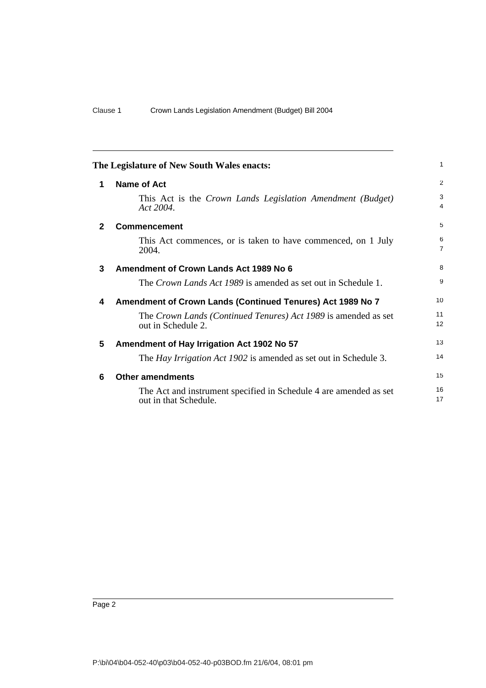<span id="page-11-5"></span><span id="page-11-4"></span><span id="page-11-3"></span><span id="page-11-2"></span><span id="page-11-1"></span><span id="page-11-0"></span>

|              | The Legislature of New South Wales enacts:                                                 | 1                   |
|--------------|--------------------------------------------------------------------------------------------|---------------------|
| 1            | Name of Act                                                                                | $\overline{2}$      |
|              | This Act is the Crown Lands Legislation Amendment (Budget)<br>Act 2004.                    | 3<br>4              |
| $\mathbf{2}$ | <b>Commencement</b>                                                                        | 5                   |
|              | This Act commences, or is taken to have commenced, on 1 July<br>2004.                      | 6<br>$\overline{7}$ |
| 3            | Amendment of Crown Lands Act 1989 No 6                                                     | 8                   |
|              | The Crown Lands Act 1989 is amended as set out in Schedule 1.                              | 9                   |
| 4            | Amendment of Crown Lands (Continued Tenures) Act 1989 No 7                                 | 10                  |
|              | The Crown Lands (Continued Tenures) Act 1989 is amended as set<br>out in Schedule 2.       | 11<br>12            |
| 5            | Amendment of Hay Irrigation Act 1902 No 57                                                 | 13                  |
|              | The <i>Hay Irrigation Act 1902</i> is amended as set out in Schedule 3.                    | 14                  |
| 6            | <b>Other amendments</b>                                                                    | 15                  |
|              | The Act and instrument specified in Schedule 4 are amended as set<br>out in that Schedule. | 16<br>17            |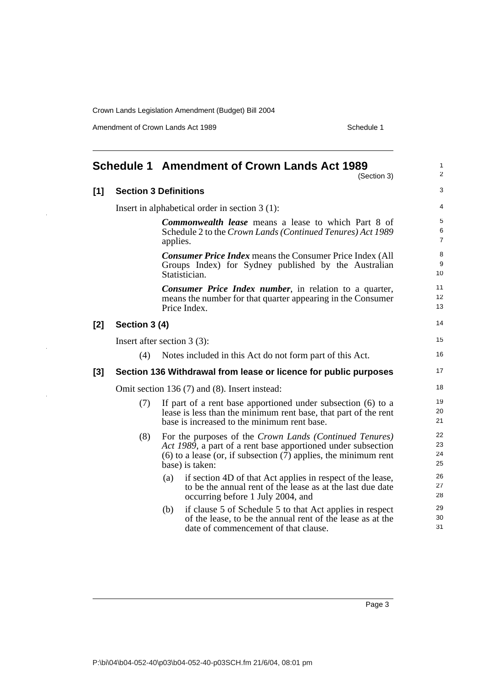Amendment of Crown Lands Act 1989 Schedule 1

 $\overline{a}$ 

<span id="page-12-0"></span>

|     |                                                                  | <b>Schedule 1 Amendment of Crown Lands Act 1989</b>                                                                                                                                                               | $\mathbf{1}$<br>2        |  |
|-----|------------------------------------------------------------------|-------------------------------------------------------------------------------------------------------------------------------------------------------------------------------------------------------------------|--------------------------|--|
|     |                                                                  | (Section 3)                                                                                                                                                                                                       |                          |  |
| [1] |                                                                  | <b>Section 3 Definitions</b>                                                                                                                                                                                      | 3                        |  |
|     |                                                                  | Insert in alphabetical order in section $3(1)$ :                                                                                                                                                                  | 4                        |  |
|     |                                                                  | <b>Commonwealth lease</b> means a lease to which Part 8 of<br>Schedule 2 to the Crown Lands (Continued Tenures) Act 1989                                                                                          | 5<br>6<br>$\overline{7}$ |  |
|     |                                                                  | applies.                                                                                                                                                                                                          |                          |  |
|     |                                                                  | <b>Consumer Price Index means the Consumer Price Index (All</b><br>Groups Index) for Sydney published by the Australian<br>Statistician.                                                                          | 8<br>9<br>10             |  |
|     |                                                                  | <b>Consumer Price Index number</b> , in relation to a quarter,<br>means the number for that quarter appearing in the Consumer<br>Price Index.                                                                     | 11<br>12<br>13           |  |
| [2] | Section 3 (4)                                                    |                                                                                                                                                                                                                   | 14                       |  |
|     |                                                                  | Insert after section $3(3)$ :                                                                                                                                                                                     | 15                       |  |
|     | (4)                                                              | Notes included in this Act do not form part of this Act.                                                                                                                                                          | 16                       |  |
| [3] | Section 136 Withdrawal from lease or licence for public purposes |                                                                                                                                                                                                                   |                          |  |
|     | Omit section 136 (7) and (8). Insert instead:                    |                                                                                                                                                                                                                   |                          |  |
|     | (7)                                                              | If part of a rent base apportioned under subsection $(6)$ to a<br>lease is less than the minimum rent base, that part of the rent<br>base is increased to the minimum rent base.                                  | 19<br>20<br>21           |  |
|     | (8)                                                              | For the purposes of the Crown Lands (Continued Tenures)<br>Act 1989, a part of a rent base apportioned under subsection<br>$(6)$ to a lease (or, if subsection $(7)$ applies, the minimum rent<br>base) is taken: | 22<br>23<br>24<br>25     |  |
|     |                                                                  | if section 4D of that Act applies in respect of the lease,<br>(a)<br>to be the annual rent of the lease as at the last due date<br>occurring before 1 July 2004, and                                              | 26<br>27<br>28           |  |
|     |                                                                  | if clause 5 of Schedule 5 to that Act applies in respect<br>(b)<br>of the lease, to be the annual rent of the lease as at the<br>date of commencement of that clause.                                             | 29<br>30<br>31           |  |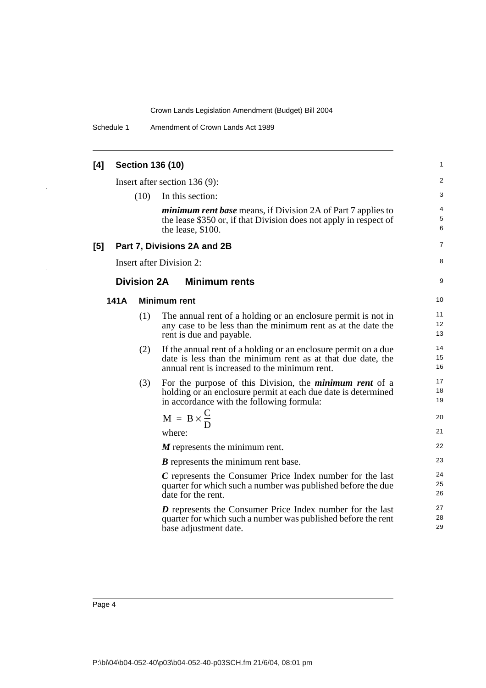Schedule 1 Amendment of Crown Lands Act 1989

| [4] |      |                    | <b>Section 136 (10)</b>                                                                                                                                                         | 1              |
|-----|------|--------------------|---------------------------------------------------------------------------------------------------------------------------------------------------------------------------------|----------------|
|     |      |                    | Insert after section $136(9)$ :                                                                                                                                                 | 2              |
|     |      | (10)               | In this section:                                                                                                                                                                | 3              |
|     |      |                    | <i>minimum rent base</i> means, if Division 2A of Part 7 applies to<br>the lease \$350 or, if that Division does not apply in respect of<br>the lease, \$100.                   | 4<br>5<br>6    |
| [5] |      |                    | Part 7, Divisions 2A and 2B                                                                                                                                                     | 7              |
|     |      |                    | <b>Insert after Division 2:</b>                                                                                                                                                 | 8              |
|     |      | <b>Division 2A</b> | <b>Minimum rents</b>                                                                                                                                                            | 9              |
|     | 141A |                    | <b>Minimum rent</b>                                                                                                                                                             | 10             |
|     |      | (1)                | The annual rent of a holding or an enclosure permit is not in<br>any case to be less than the minimum rent as at the date the<br>rent is due and payable.                       | 11<br>12<br>13 |
|     |      | (2)                | If the annual rent of a holding or an enclosure permit on a due<br>date is less than the minimum rent as at that due date, the<br>annual rent is increased to the minimum rent. | 14<br>15<br>16 |
|     |      | (3)                | For the purpose of this Division, the <i>minimum rent</i> of a<br>holding or an enclosure permit at each due date is determined<br>in accordance with the following formula:    | 17<br>18<br>19 |
|     |      |                    | $M = B \times \frac{C}{D}$                                                                                                                                                      | 20             |
|     |      |                    | where:                                                                                                                                                                          | 21             |
|     |      |                    | $M$ represents the minimum rent.                                                                                                                                                | 22             |
|     |      |                    | $B$ represents the minimum rent base.                                                                                                                                           | 23             |
|     |      |                    | $C$ represents the Consumer Price Index number for the last<br>quarter for which such a number was published before the due<br>date for the rent.                               | 24<br>25<br>26 |
|     |      |                    | $\boldsymbol{D}$ represents the Consumer Price Index number for the last<br>quarter for which such a number was published before the rent<br>base adjustment date.              | 27<br>28<br>29 |

 $\mathbb{Z}$ 

l,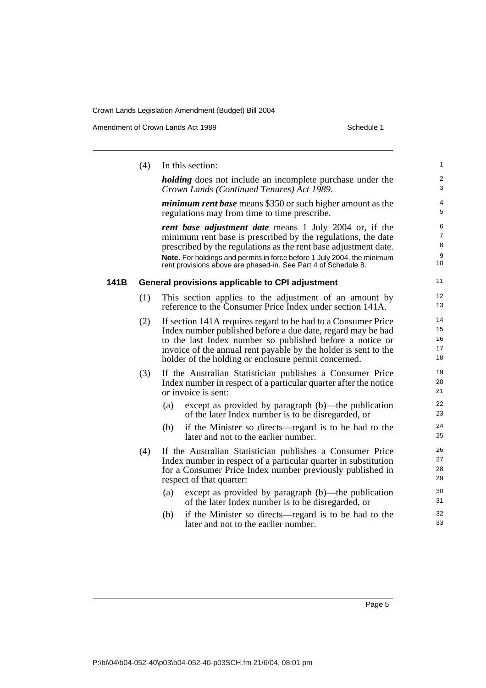Amendment of Crown Lands Act 1989 Schedule 1

|      | (4) | In this section:                                                                                                                                                                                                                                                                                                                       | $\mathbf{1}$                                       |
|------|-----|----------------------------------------------------------------------------------------------------------------------------------------------------------------------------------------------------------------------------------------------------------------------------------------------------------------------------------------|----------------------------------------------------|
|      |     | <i>holding</i> does not include an incomplete purchase under the<br>Crown Lands (Continued Tenures) Act 1989.                                                                                                                                                                                                                          | 2<br>$\sqrt{3}$                                    |
|      |     | <i>minimum rent base</i> means \$350 or such higher amount as the<br>regulations may from time to time prescribe.                                                                                                                                                                                                                      | 4<br>5                                             |
|      |     | rent base adjustment date means 1 July 2004 or, if the<br>minimum rent base is prescribed by the regulations, the date<br>prescribed by the regulations as the rent base adjustment date.<br>Note. For holdings and permits in force before 1 July 2004, the minimum<br>rent provisions above are phased-in. See Part 4 of Schedule 8. | 6<br>$\overline{7}$<br>8<br>$\boldsymbol{9}$<br>10 |
| 141B |     | General provisions applicable to CPI adjustment                                                                                                                                                                                                                                                                                        | 11                                                 |
|      | (1) | This section applies to the adjustment of an amount by<br>reference to the Consumer Price Index under section 141A.                                                                                                                                                                                                                    | 12<br>13                                           |
|      | (2) | If section 141A requires regard to be had to a Consumer Price<br>Index number published before a due date, regard may be had<br>to the last Index number so published before a notice or<br>invoice of the annual rent payable by the holder is sent to the<br>holder of the holding or enclosure permit concerned.                    | 14<br>15<br>16<br>17<br>18                         |
|      | (3) | If the Australian Statistician publishes a Consumer Price<br>Index number in respect of a particular quarter after the notice<br>or invoice is sent:                                                                                                                                                                                   | 19<br>20<br>21                                     |
|      |     | except as provided by paragraph (b)—the publication<br>(a)<br>of the later Index number is to be disregarded, or                                                                                                                                                                                                                       | 22<br>23                                           |
|      |     | if the Minister so directs—regard is to be had to the<br>(b)<br>later and not to the earlier number.                                                                                                                                                                                                                                   | 24<br>25                                           |
|      | (4) | If the Australian Statistician publishes a Consumer Price<br>Index number in respect of a particular quarter in substitution<br>for a Consumer Price Index number previously published in<br>respect of that quarter:                                                                                                                  | 26<br>27<br>28<br>29                               |
|      |     | (a)<br>except as provided by paragraph (b)—the publication<br>of the later Index number is to be disregarded, or                                                                                                                                                                                                                       | 30<br>31                                           |
|      |     | if the Minister so directs—regard is to be had to the<br>(b)<br>later and not to the earlier number.                                                                                                                                                                                                                                   | 32<br>33                                           |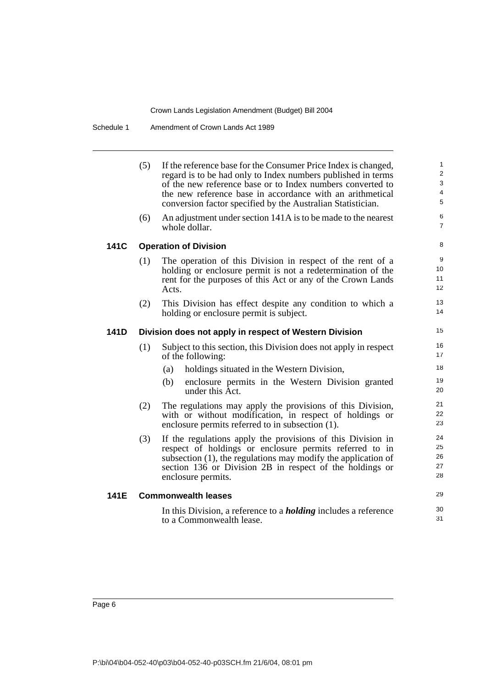Schedule 1 Amendment of Crown Lands Act 1989

|      | (5)<br>(6) | If the reference base for the Consumer Price Index is changed,<br>regard is to be had only to Index numbers published in terms<br>of the new reference base or to Index numbers converted to<br>the new reference base in accordance with an arithmetical<br>conversion factor specified by the Australian Statistician.<br>An adjustment under section 141A is to be made to the nearest<br>whole dollar. | 1<br>$\mathbf 2$<br>$\sqrt{3}$<br>$\overline{4}$<br>$\sqrt{5}$<br>6<br>$\overline{7}$ |
|------|------------|------------------------------------------------------------------------------------------------------------------------------------------------------------------------------------------------------------------------------------------------------------------------------------------------------------------------------------------------------------------------------------------------------------|---------------------------------------------------------------------------------------|
| 141C |            | <b>Operation of Division</b>                                                                                                                                                                                                                                                                                                                                                                               | 8                                                                                     |
|      | (1)        | The operation of this Division in respect of the rent of a<br>holding or enclosure permit is not a redetermination of the<br>rent for the purposes of this Act or any of the Crown Lands<br>Acts.                                                                                                                                                                                                          | 9<br>10<br>11<br>12                                                                   |
|      | (2)        | This Division has effect despite any condition to which a<br>holding or enclosure permit is subject.                                                                                                                                                                                                                                                                                                       | 13<br>14                                                                              |
| 141D |            | Division does not apply in respect of Western Division                                                                                                                                                                                                                                                                                                                                                     | 15                                                                                    |
|      | (1)        | Subject to this section, this Division does not apply in respect<br>of the following:                                                                                                                                                                                                                                                                                                                      | 16<br>17                                                                              |
|      |            | holdings situated in the Western Division,<br>(a)                                                                                                                                                                                                                                                                                                                                                          | 18                                                                                    |
|      |            | enclosure permits in the Western Division granted<br>(b)<br>under this Act.                                                                                                                                                                                                                                                                                                                                | 19<br>20                                                                              |
|      | (2)        | The regulations may apply the provisions of this Division,<br>with or without modification, in respect of holdings or<br>enclosure permits referred to in subsection (1).                                                                                                                                                                                                                                  | 21<br>22<br>23                                                                        |
|      | (3)        | If the regulations apply the provisions of this Division in<br>respect of holdings or enclosure permits referred to in<br>subsection $(1)$ , the regulations may modify the application of<br>section 136 or Division 2B in respect of the holdings or<br>enclosure permits.                                                                                                                               | 24<br>25<br>26<br>27<br>28                                                            |
| 141E |            | <b>Commonwealth leases</b>                                                                                                                                                                                                                                                                                                                                                                                 | 29                                                                                    |
|      |            | In this Division, a reference to a <i>holding</i> includes a reference<br>to a Commonwealth lease.                                                                                                                                                                                                                                                                                                         | 30<br>31                                                                              |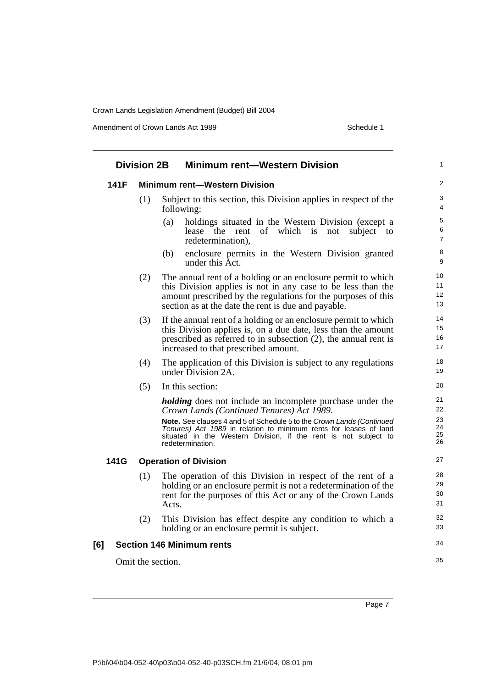Amendment of Crown Lands Act 1989 Schedule 1

| <b>Division 2B</b> |                   | <b>Minimum rent-Western Division</b>                                                                                                                                                                                                                 |  |
|--------------------|-------------------|------------------------------------------------------------------------------------------------------------------------------------------------------------------------------------------------------------------------------------------------------|--|
| 141F               |                   | <b>Minimum rent-Western Division</b>                                                                                                                                                                                                                 |  |
|                    | (1)               | Subject to this section, this Division applies in respect of the<br>following:                                                                                                                                                                       |  |
|                    |                   | (a)<br>holdings situated in the Western Division (except a<br>lease the rent of which is<br>not<br>subject<br>to<br>redetermination),                                                                                                                |  |
|                    |                   | enclosure permits in the Western Division granted<br>(b)<br>under this Act.                                                                                                                                                                          |  |
|                    | (2)               | The annual rent of a holding or an enclosure permit to which<br>this Division applies is not in any case to be less than the<br>amount prescribed by the regulations for the purposes of this<br>section as at the date the rent is due and payable. |  |
|                    | (3)               | If the annual rent of a holding or an enclosure permit to which<br>this Division applies is, on a due date, less than the amount<br>prescribed as referred to in subsection $(2)$ , the annual rent is<br>increased to that prescribed amount.       |  |
|                    | (4)               | The application of this Division is subject to any regulations<br>under Division 2A.                                                                                                                                                                 |  |
|                    | (5)               | In this section:                                                                                                                                                                                                                                     |  |
|                    |                   | <i>holding</i> does not include an incomplete purchase under the<br>Crown Lands (Continued Tenures) Act 1989.                                                                                                                                        |  |
|                    |                   | <b>Note.</b> See clauses 4 and 5 of Schedule 5 to the Crown Lands (Continued<br>Tenures) Act 1989 in relation to minimum rents for leases of land<br>situated in the Western Division, if the rent is not subject to<br>redetermination.             |  |
| 141G               |                   | <b>Operation of Division</b>                                                                                                                                                                                                                         |  |
|                    | (1)               | The operation of this Division in respect of the rent of a<br>holding or an enclosure permit is not a redetermination of the<br>rent for the purposes of this Act or any of the Crown Lands<br>Acts.                                                 |  |
|                    | (2)               | This Division has effect despite any condition to which a<br>holding or an enclosure permit is subject.                                                                                                                                              |  |
| [6]                |                   | <b>Section 146 Minimum rents</b>                                                                                                                                                                                                                     |  |
|                    | Omit the section. |                                                                                                                                                                                                                                                      |  |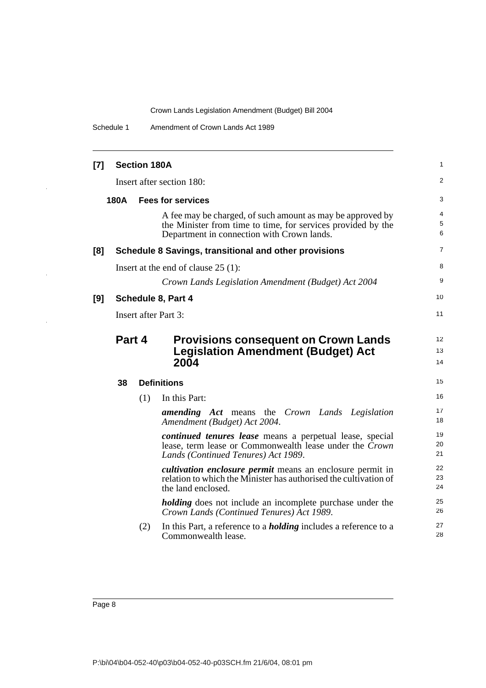Schedule 1 Amendment of Crown Lands Act 1989

| $[7]$ |        | <b>Section 180A</b> |                                                                                                                                                                          | 1              |
|-------|--------|---------------------|--------------------------------------------------------------------------------------------------------------------------------------------------------------------------|----------------|
|       |        |                     | Insert after section 180:                                                                                                                                                | 2              |
|       | 180A   |                     | <b>Fees for services</b>                                                                                                                                                 | 3              |
|       |        |                     | A fee may be charged, of such amount as may be approved by<br>the Minister from time to time, for services provided by the<br>Department in connection with Crown lands. | 4<br>5<br>6    |
| [8]   |        |                     | Schedule 8 Savings, transitional and other provisions                                                                                                                    | 7              |
|       |        |                     | Insert at the end of clause $25(1)$ :                                                                                                                                    | 8              |
|       |        |                     | Crown Lands Legislation Amendment (Budget) Act 2004                                                                                                                      | 9              |
| [9]   |        |                     | Schedule 8, Part 4                                                                                                                                                       | 10             |
|       |        |                     | <b>Insert after Part 3:</b>                                                                                                                                              | 11             |
|       | Part 4 |                     | <b>Provisions consequent on Crown Lands</b><br><b>Legislation Amendment (Budget) Act</b><br>2004                                                                         | 12<br>13<br>14 |
|       | 38     |                     | <b>Definitions</b>                                                                                                                                                       | 15             |
|       |        | (1)                 | In this Part:                                                                                                                                                            | 16             |
|       |        |                     | <b>amending Act</b> means the Crown Lands Legislation<br>Amendment (Budget) Act 2004.                                                                                    | 17<br>18       |
|       |        |                     |                                                                                                                                                                          |                |
|       |        |                     | continued tenures lease means a perpetual lease, special<br>lease, term lease or Commonwealth lease under the Crown<br>Lands (Continued Tenures) Act 1989.               | 19<br>20<br>21 |
|       |        |                     | <i>cultivation enclosure permit</i> means an enclosure permit in<br>relation to which the Minister has authorised the cultivation of<br>the land enclosed.               | 22<br>23<br>24 |
|       |        |                     | <i>holding</i> does not include an incomplete purchase under the<br>Crown Lands (Continued Tenures) Act 1989.                                                            | 25<br>26       |
|       |        | (2)                 | In this Part, a reference to a <b><i>holding</i></b> includes a reference to a<br>Commonwealth lease.                                                                    | 27<br>28       |

 $\hat{\mathcal{A}}$ 

 $\frac{1}{\sqrt{2}}$ 

 $\frac{1}{2}$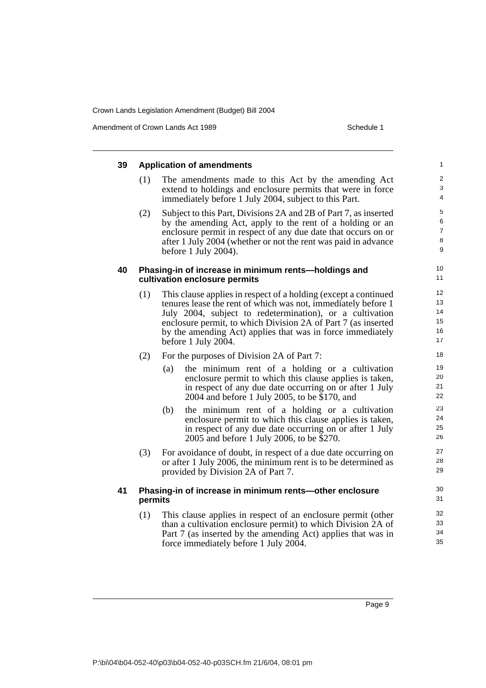Amendment of Crown Lands Act 1989 Schedule 1

| 39 |         | <b>Application of amendments</b>                                                                                                                                                                                                                                                                                                                   | $\mathbf{1}$                                       |
|----|---------|----------------------------------------------------------------------------------------------------------------------------------------------------------------------------------------------------------------------------------------------------------------------------------------------------------------------------------------------------|----------------------------------------------------|
|    | (1)     | The amendments made to this Act by the amending Act<br>extend to holdings and enclosure permits that were in force<br>immediately before 1 July 2004, subject to this Part.                                                                                                                                                                        | $\boldsymbol{2}$<br>$\ensuremath{\mathsf{3}}$<br>4 |
|    | (2)     | Subject to this Part, Divisions 2A and 2B of Part 7, as inserted<br>by the amending Act, apply to the rent of a holding or an<br>enclosure permit in respect of any due date that occurs on or<br>after 1 July 2004 (whether or not the rent was paid in advance<br>before 1 July 2004).                                                           | 5<br>$\,6\,$<br>$\boldsymbol{7}$<br>$\,8\,$<br>9   |
| 40 |         | Phasing-in of increase in minimum rents-holdings and<br>cultivation enclosure permits                                                                                                                                                                                                                                                              | 10<br>11                                           |
|    | (1)     | This clause applies in respect of a holding (except a continued<br>tenures lease the rent of which was not, immediately before 1<br>July 2004, subject to redetermination), or a cultivation<br>enclosure permit, to which Division 2A of Part 7 (as inserted<br>by the amending Act) applies that was in force immediately<br>before 1 July 2004. | 12<br>13<br>14<br>15<br>16<br>17                   |
|    | (2)     | For the purposes of Division 2A of Part 7:<br>the minimum rent of a holding or a cultivation<br>(a)<br>enclosure permit to which this clause applies is taken,<br>in respect of any due date occurring on or after 1 July<br>2004 and before 1 July 2005, to be \$170, and                                                                         | 18<br>19<br>20<br>21<br>22                         |
|    |         | the minimum rent of a holding or a cultivation<br>(b)<br>enclosure permit to which this clause applies is taken,<br>in respect of any due date occurring on or after 1 July<br>2005 and before 1 July 2006, to be \$270.                                                                                                                           | 23<br>24<br>25<br>26                               |
|    | (3)     | For avoidance of doubt, in respect of a due date occurring on<br>or after 1 July 2006, the minimum rent is to be determined as<br>provided by Division 2A of Part 7.                                                                                                                                                                               | 27<br>28<br>29                                     |
| 41 | permits | Phasing-in of increase in minimum rents-other enclosure                                                                                                                                                                                                                                                                                            | 30<br>31                                           |
|    | (1)     | This clause applies in respect of an enclosure permit (other<br>than a cultivation enclosure permit) to which Division 2A of<br>Part 7 (as inserted by the amending Act) applies that was in<br>force immediately before 1 July 2004.                                                                                                              | 32<br>33<br>34<br>35                               |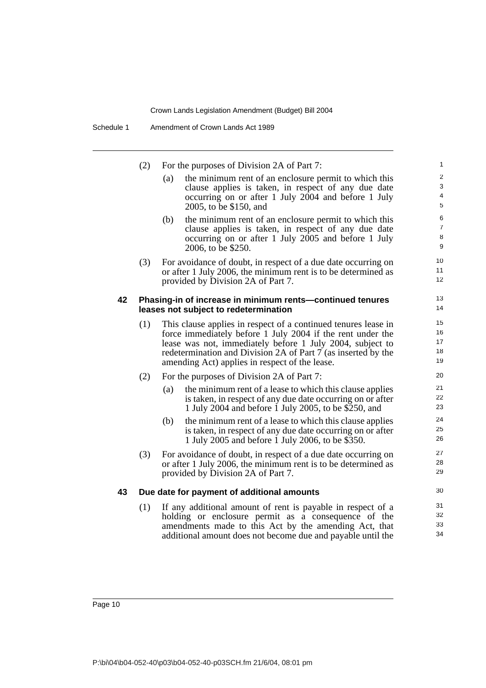Schedule 1 Amendment of Crown Lands Act 1989

|    | (2) | For the purposes of Division 2A of Part 7:                                                                                                                                 | 1                                                |
|----|-----|----------------------------------------------------------------------------------------------------------------------------------------------------------------------------|--------------------------------------------------|
|    |     | the minimum rent of an enclosure permit to which this<br>(a)<br>clause applies is taken, in respect of any due date<br>occurring on or after 1 July 2004 and before 1 July | $\overline{2}$<br>$\mathbf{3}$<br>$\overline{4}$ |
|    |     | 2005, to be \$150, and                                                                                                                                                     | 5                                                |
|    |     | (b)<br>the minimum rent of an enclosure permit to which this                                                                                                               | 6                                                |
|    |     | clause applies is taken, in respect of any due date<br>occurring on or after 1 July 2005 and before 1 July                                                                 | $\overline{7}$<br>$\,8\,$                        |
|    |     | 2006, to be \$250.                                                                                                                                                         | $\boldsymbol{9}$                                 |
|    | (3) | For avoidance of doubt, in respect of a due date occurring on                                                                                                              | 10                                               |
|    |     | or after 1 July 2006, the minimum rent is to be determined as                                                                                                              | 11                                               |
|    |     | provided by Division 2A of Part 7.                                                                                                                                         | 12                                               |
| 42 |     | Phasing-in of increase in minimum rents-continued tenures                                                                                                                  | 13                                               |
|    |     | leases not subject to redetermination                                                                                                                                      | 14                                               |
|    | (1) | This clause applies in respect of a continued tenures lease in                                                                                                             | 15                                               |
|    |     | force immediately before 1 July 2004 if the rent under the                                                                                                                 | 16                                               |
|    |     | lease was not, immediately before 1 July 2004, subject to                                                                                                                  | 17<br>18                                         |
|    |     | redetermination and Division 2A of Part 7 (as inserted by the<br>amending Act) applies in respect of the lease.                                                            | 19                                               |
|    | (2) | For the purposes of Division 2A of Part 7:                                                                                                                                 | 20                                               |
|    |     | the minimum rent of a lease to which this clause applies<br>(a)                                                                                                            | 21                                               |
|    |     | is taken, in respect of any due date occurring on or after                                                                                                                 | 22                                               |
|    |     | 1 July 2004 and before 1 July 2005, to be \$250, and                                                                                                                       | 23                                               |
|    |     | (b)<br>the minimum rent of a lease to which this clause applies                                                                                                            | 24                                               |
|    |     | is taken, in respect of any due date occurring on or after                                                                                                                 | 25<br>26                                         |
|    |     | 1 July 2005 and before 1 July 2006, to be \$350.                                                                                                                           |                                                  |
|    | (3) | For avoidance of doubt, in respect of a due date occurring on                                                                                                              | 27<br>28                                         |
|    |     | or after 1 July 2006, the minimum rent is to be determined as<br>provided by Division 2A of Part 7.                                                                        | 29                                               |
|    |     |                                                                                                                                                                            | 30                                               |
| 43 |     | Due date for payment of additional amounts                                                                                                                                 |                                                  |
|    | (1) | If any additional amount of rent is payable in respect of a                                                                                                                | 31                                               |
|    |     | holding or enclosure permit as a consequence of the                                                                                                                        | 32<br>33                                         |
|    |     | amendments made to this Act by the amending Act, that<br>additional amount does not become due and payable until the                                                       | 34                                               |
|    |     |                                                                                                                                                                            |                                                  |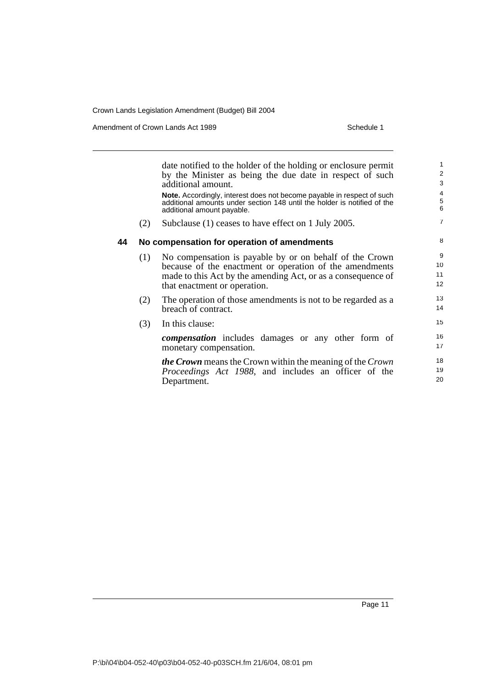Amendment of Crown Lands Act 1989 Schedule 1

|    |     | date notified to the holder of the holding or enclosure permit<br>by the Minister as being the due date in respect of such<br>additional amount.<br><b>Note.</b> Accordingly, interest does not become payable in respect of such<br>additional amounts under section 148 until the holder is notified of the<br>additional amount payable. | $\mathbf{1}$<br>2<br>3<br>4<br>$\,$ 5 $\,$<br>6 |
|----|-----|---------------------------------------------------------------------------------------------------------------------------------------------------------------------------------------------------------------------------------------------------------------------------------------------------------------------------------------------|-------------------------------------------------|
|    | (2) | Subclause (1) ceases to have effect on 1 July 2005.                                                                                                                                                                                                                                                                                         | $\overline{7}$                                  |
| 44 |     | No compensation for operation of amendments                                                                                                                                                                                                                                                                                                 | 8                                               |
|    | (1) | No compensation is payable by or on behalf of the Crown<br>because of the enactment or operation of the amendments<br>made to this Act by the amending Act, or as a consequence of<br>that enactment or operation.                                                                                                                          | 9<br>10<br>11<br>12                             |
|    | (2) | The operation of those amendments is not to be regarded as a<br>breach of contract.                                                                                                                                                                                                                                                         | 13<br>14                                        |
|    | (3) | In this clause:                                                                                                                                                                                                                                                                                                                             | 15                                              |
|    |     | <b><i>compensation</i></b> includes damages or any other form of<br>monetary compensation.                                                                                                                                                                                                                                                  | 16<br>17                                        |
|    |     | <b><i>the Crown</i></b> means the Crown within the meaning of the Crown<br>Proceedings Act 1988, and includes an officer of the<br>Department.                                                                                                                                                                                              | 18<br>19<br>20                                  |
|    |     |                                                                                                                                                                                                                                                                                                                                             |                                                 |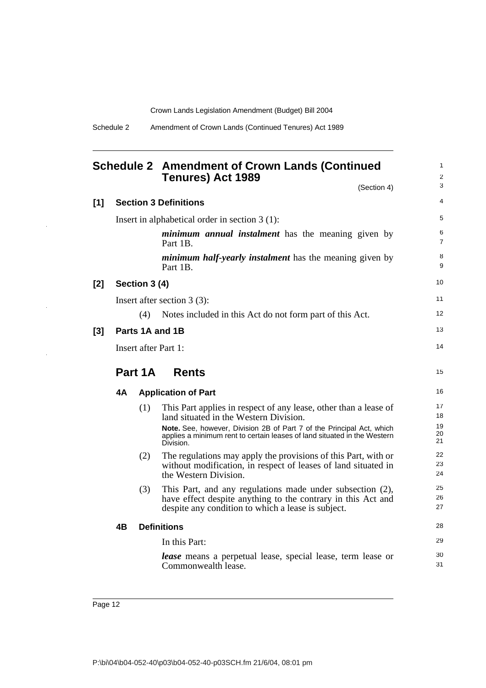| Schedule 2 | Amendment of Crown Lands (Continued Tenures) Act 1989 |  |
|------------|-------------------------------------------------------|--|
|            |                                                       |  |

Commonwealth lease.

<span id="page-21-0"></span>

| <b>Schedule 2 Amendment of Crown Lands (Continued</b> |
|-------------------------------------------------------|
| <b>Tenures) Act 1989</b>                              |

1 2 3

31

(Section 4) **[1] Section 3 Definitions** Insert in alphabetical order in section 3 (1): *minimum annual instalment* has the meaning given by Part 1B. *minimum half-yearly instalment* has the meaning given by Part 1B. **[2] Section 3 (4)** Insert after section 3 (3): (4) Notes included in this Act do not form part of this Act. **[3] Parts 1A and 1B** Insert after Part 1: **Part 1A Rents 4A Application of Part** (1) This Part applies in respect of any lease, other than a lease of land situated in the Western Division. **Note.** See, however, Division 2B of Part 7 of the Principal Act, which applies a minimum rent to certain leases of land situated in the Western Division. (2) The regulations may apply the provisions of this Part, with or without modification, in respect of leases of land situated in the Western Division. (3) This Part, and any regulations made under subsection (2), have effect despite anything to the contrary in this Act and despite any condition to which a lease is subject. **4B Definitions** In this Part: *lease* means a perpetual lease, special lease, term lease or 4 5 6 7 8 9 10 11 12 13 14 15 16 17 18 19 20 21 22 23 24 25 26 27 28 29 30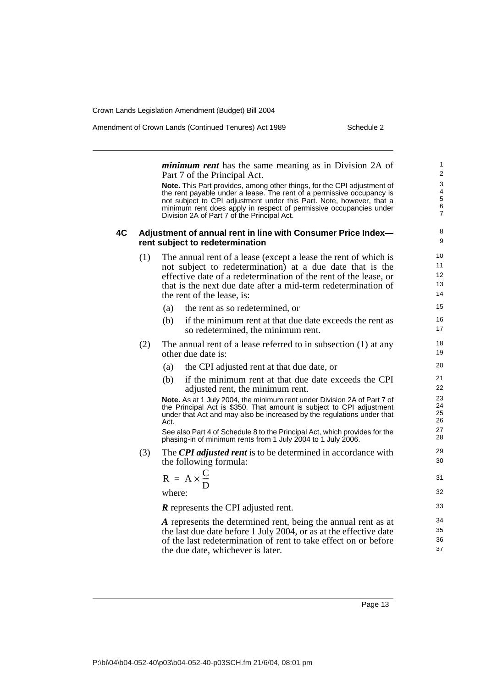Amendment of Crown Lands (Continued Tenures) Act 1989 Schedule 2

*minimum rent* has the same meaning as in Division 2A of Part 7 of the Principal Act. **Note.** This Part provides, among other things, for the CPI adjustment of the rent payable under a lease. The rent of a permissive occupancy is not subject to CPI adjustment under this Part. Note, however, that a minimum rent does apply in respect of permissive occupancies under Division 2A of Part 7 of the Principal Act. **4C Adjustment of annual rent in line with Consumer Price Index rent subject to redetermination** (1) The annual rent of a lease (except a lease the rent of which is not subject to redetermination) at a due date that is the effective date of a redetermination of the rent of the lease, or that is the next due date after a mid-term redetermination of the rent of the lease, is: (a) the rent as so redetermined, or (b) if the minimum rent at that due date exceeds the rent as so redetermined, the minimum rent. (2) The annual rent of a lease referred to in subsection (1) at any other due date is: (a) the CPI adjusted rent at that due date, or (b) if the minimum rent at that due date exceeds the CPI adjusted rent, the minimum rent. **Note.** As at 1 July 2004, the minimum rent under Division 2A of Part 7 of the Principal Act is \$350. That amount is subject to CPI adjustment under that Act and may also be increased by the regulations under that Act. See also Part 4 of Schedule 8 to the Principal Act, which provides for the phasing-in of minimum rents from 1 July 2004 to 1 July 2006. (3) The *CPI adjusted rent* is to be determined in accordance with the following formula: where: *R* represents the CPI adjusted rent. *A* represents the determined rent, being the annual rent as at the last due date before 1 July 2004, or as at the effective date of the last redetermination of rent to take effect on or before the due date, whichever is later. 1 2  $\overline{3}$ 4 5 6 7 8 9 10 11 12 13 14 15 16 17 18 19 20 21 22 23 24 25 26 27 28 29 30  $R = A \times \frac{C}{D}$  31 32 33 34 35 36 37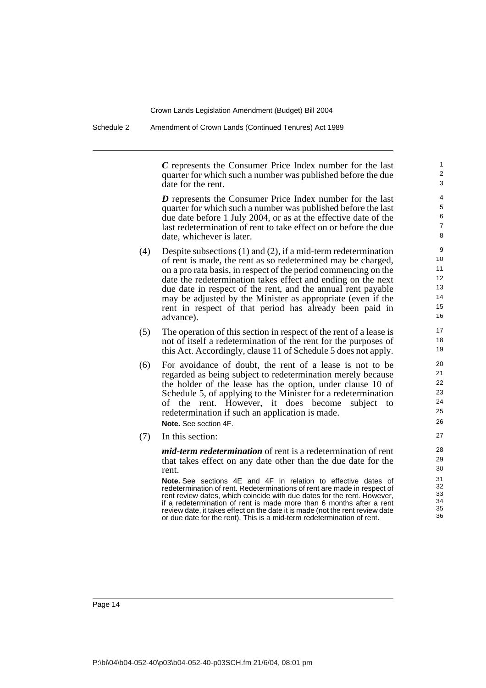Schedule 2 Amendment of Crown Lands (Continued Tenures) Act 1989

*C* represents the Consumer Price Index number for the last quarter for which such a number was published before the due date for the rent.

*D* represents the Consumer Price Index number for the last quarter for which such a number was published before the last due date before 1 July 2004, or as at the effective date of the last redetermination of rent to take effect on or before the due date, whichever is later.

- (4) Despite subsections (1) and (2), if a mid-term redetermination of rent is made, the rent as so redetermined may be charged, on a pro rata basis, in respect of the period commencing on the date the redetermination takes effect and ending on the next due date in respect of the rent, and the annual rent payable may be adjusted by the Minister as appropriate (even if the rent in respect of that period has already been paid in advance).
- (5) The operation of this section in respect of the rent of a lease is not of itself a redetermination of the rent for the purposes of this Act. Accordingly, clause 11 of Schedule 5 does not apply.
- (6) For avoidance of doubt, the rent of a lease is not to be regarded as being subject to redetermination merely because the holder of the lease has the option, under clause 10 of Schedule 5, of applying to the Minister for a redetermination of the rent. However, it does become subject to redetermination if such an application is made. **Note.** See section 4F.
- (7) In this section:

*mid-term redetermination* of rent is a redetermination of rent that takes effect on any date other than the due date for the rent.

**Note.** See sections 4E and 4F in relation to effective dates of redetermination of rent. Redeterminations of rent are made in respect of rent review dates, which coincide with due dates for the rent. However, if a redetermination of rent is made more than 6 months after a rent review date, it takes effect on the date it is made (not the rent review date or due date for the rent). This is a mid-term redetermination of rent.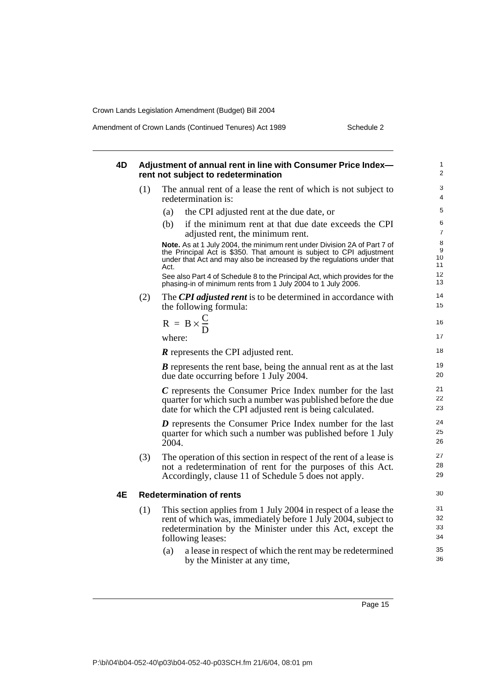Amendment of Crown Lands (Continued Tenures) Act 1989 Schedule 2

| 4D |     | Adjustment of annual rent in line with Consumer Price Index-                                                                                                                                                                                                                           | 1                          |
|----|-----|----------------------------------------------------------------------------------------------------------------------------------------------------------------------------------------------------------------------------------------------------------------------------------------|----------------------------|
|    |     | rent not subject to redetermination                                                                                                                                                                                                                                                    | 2                          |
|    | (1) | The annual rent of a lease the rent of which is not subject to<br>redetermination is:                                                                                                                                                                                                  | 3<br>$\overline{4}$        |
|    |     | the CPI adjusted rent at the due date, or<br>(a)                                                                                                                                                                                                                                       | 5                          |
|    |     | if the minimum rent at that due date exceeds the CPI<br>(b)<br>adjusted rent, the minimum rent.                                                                                                                                                                                        | 6<br>$\overline{7}$        |
|    |     | Note. As at 1 July 2004, the minimum rent under Division 2A of Part 7 of<br>the Principal Act is \$350. That amount is subject to CPI adjustment<br>under that Act and may also be increased by the regulations under that<br>Act.                                                     | 8<br>9<br>10<br>11         |
|    |     | See also Part 4 of Schedule 8 to the Principal Act, which provides for the<br>phasing-in of minimum rents from 1 July 2004 to 1 July 2006.                                                                                                                                             | 12<br>13                   |
|    | (2) | The CPI adjusted rent is to be determined in accordance with<br>the following formula:                                                                                                                                                                                                 | 14<br>15                   |
|    |     | $R = B \times \frac{C}{D}$                                                                                                                                                                                                                                                             | 16                         |
|    |     | where:                                                                                                                                                                                                                                                                                 | 17                         |
|    |     | <b>R</b> represents the CPI adjusted rent.                                                                                                                                                                                                                                             | 18                         |
|    |     | <b>B</b> represents the rent base, being the annual rent as at the last<br>due date occurring before 1 July 2004.                                                                                                                                                                      | 19<br>20                   |
|    |     | C represents the Consumer Price Index number for the last<br>quarter for which such a number was published before the due<br>date for which the CPI adjusted rent is being calculated.                                                                                                 | 21<br>22<br>23             |
|    |     | $D$ represents the Consumer Price Index number for the last<br>quarter for which such a number was published before 1 July<br>2004.                                                                                                                                                    | 24<br>25<br>26             |
|    | (3) | The operation of this section in respect of the rent of a lease is<br>not a redetermination of rent for the purposes of this Act.<br>Accordingly, clause 11 of Schedule 5 does not apply.                                                                                              | 27<br>28<br>29             |
| 4Ε |     | <b>Redetermination of rents</b>                                                                                                                                                                                                                                                        | 30                         |
|    | (1) | This section applies from 1 July 2004 in respect of a lease the<br>rent of which was, immediately before 1 July 2004, subject to<br>redetermination by the Minister under this Act, except the<br>following leases:<br>a lease in respect of which the rent may be redetermined<br>(a) | 31<br>32<br>33<br>34<br>35 |
|    |     | by the Minister at any time,                                                                                                                                                                                                                                                           | 36                         |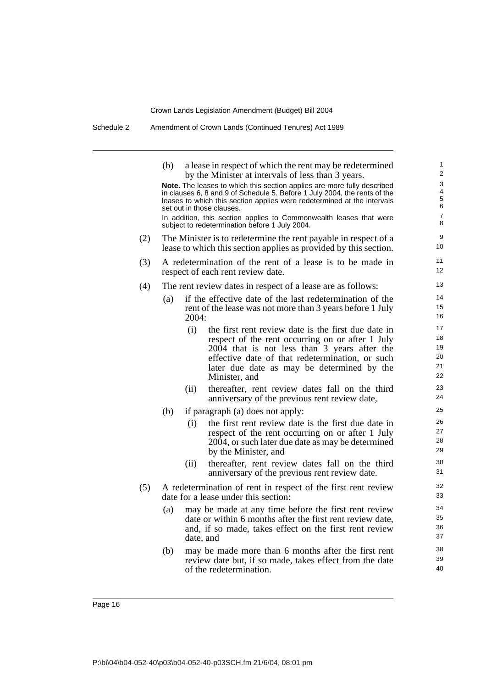Schedule 2 Amendment of Crown Lands (Continued Tenures) Act 1989

|     | (b) | a lease in respect of which the rent may be redetermined<br>by the Minister at intervals of less than 3 years.                                                                                                                                                                   | 1<br>$\overline{2}$                          |
|-----|-----|----------------------------------------------------------------------------------------------------------------------------------------------------------------------------------------------------------------------------------------------------------------------------------|----------------------------------------------|
|     |     | Note. The leases to which this section applies are more fully described<br>in clauses 6, 8 and 9 of Schedule 5. Before 1 July 2004, the rents of the<br>leases to which this section applies were redetermined at the intervals<br>set out in those clauses.                     | 3<br>4<br>$\mathbf 5$<br>6<br>$\overline{7}$ |
|     |     | In addition, this section applies to Commonwealth leases that were<br>subject to redetermination before 1 July 2004.                                                                                                                                                             | 8                                            |
| (2) |     | The Minister is to redetermine the rent payable in respect of a<br>lease to which this section applies as provided by this section.                                                                                                                                              | 9<br>10                                      |
| (3) |     | A redetermination of the rent of a lease is to be made in<br>respect of each rent review date.                                                                                                                                                                                   | 11<br>12                                     |
| (4) |     | The rent review dates in respect of a lease are as follows:                                                                                                                                                                                                                      | 13                                           |
|     | (a) | if the effective date of the last redetermination of the<br>rent of the lease was not more than 3 years before 1 July<br>2004:                                                                                                                                                   | 14<br>15<br>16                               |
|     |     | (i)<br>the first rent review date is the first due date in<br>respect of the rent occurring on or after 1 July<br>2004 that is not less than 3 years after the<br>effective date of that redetermination, or such<br>later due date as may be determined by the<br>Minister, and | 17<br>18<br>19<br>20<br>21<br>22             |
|     |     | thereafter, rent review dates fall on the third<br>(ii)<br>anniversary of the previous rent review date,                                                                                                                                                                         | 23<br>24                                     |
|     | (b) | if paragraph (a) does not apply:                                                                                                                                                                                                                                                 | 25                                           |
|     |     | the first rent review date is the first due date in<br>(i)<br>respect of the rent occurring on or after 1 July<br>2004, or such later due date as may be determined<br>by the Minister, and                                                                                      | 26<br>27<br>28<br>29                         |
|     |     | thereafter, rent review dates fall on the third<br>(ii)<br>anniversary of the previous rent review date.                                                                                                                                                                         | 30<br>31                                     |
| (5) |     | A redetermination of rent in respect of the first rent review<br>date for a lease under this section:                                                                                                                                                                            | 32<br>33                                     |
|     | (a) | may be made at any time before the first rent review<br>date or within 6 months after the first rent review date,<br>and, if so made, takes effect on the first rent review<br>date, and                                                                                         | 34<br>35<br>36<br>37                         |
|     | (b) | may be made more than 6 months after the first rent<br>review date but, if so made, takes effect from the date<br>of the redetermination.                                                                                                                                        | 38<br>39<br>40                               |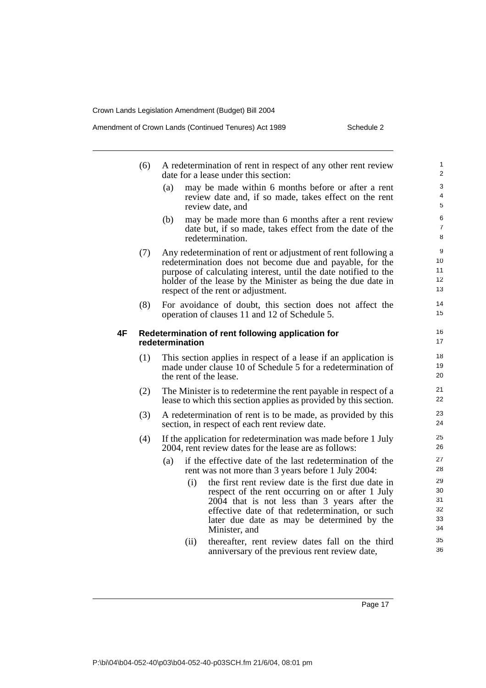| Amendment of Crown Lands (Continued Tenures) Act 1989 |
|-------------------------------------------------------|
|-------------------------------------------------------|

Schedule 2

|    | (6) | A redetermination of rent in respect of any other rent review<br>date for a lease under this section:                                                                                                                                                                                              | $\mathbf{1}$<br>2                |
|----|-----|----------------------------------------------------------------------------------------------------------------------------------------------------------------------------------------------------------------------------------------------------------------------------------------------------|----------------------------------|
|    |     | (a)<br>may be made within 6 months before or after a rent<br>review date and, if so made, takes effect on the rent<br>review date, and                                                                                                                                                             | 3<br>$\overline{4}$<br>5         |
|    |     | (b)<br>may be made more than 6 months after a rent review<br>date but, if so made, takes effect from the date of the<br>redetermination.                                                                                                                                                           | 6<br>$\overline{7}$<br>8         |
|    | (7) | Any redetermination of rent or adjustment of rent following a<br>redetermination does not become due and payable, for the<br>purpose of calculating interest, until the date notified to the<br>holder of the lease by the Minister as being the due date in<br>respect of the rent or adjustment. | 9<br>10<br>11<br>12<br>13        |
|    | (8) | For avoidance of doubt, this section does not affect the<br>operation of clauses 11 and 12 of Schedule 5.                                                                                                                                                                                          | 14<br>15                         |
| 4F |     | Redetermination of rent following application for<br>redetermination                                                                                                                                                                                                                               | 16<br>17                         |
|    | (1) | This section applies in respect of a lease if an application is<br>made under clause 10 of Schedule 5 for a redetermination of<br>the rent of the lease.                                                                                                                                           | 18<br>19<br>20                   |
|    | (2) | The Minister is to redetermine the rent payable in respect of a<br>lease to which this section applies as provided by this section.                                                                                                                                                                | 21<br>22                         |
|    | (3) | A redetermination of rent is to be made, as provided by this<br>section, in respect of each rent review date.                                                                                                                                                                                      | 23<br>24                         |
|    | (4) | If the application for redetermination was made before 1 July<br>2004, rent review dates for the lease are as follows:                                                                                                                                                                             | 25<br>26                         |
|    |     | if the effective date of the last redetermination of the<br>(a)<br>rent was not more than 3 years before 1 July 2004:                                                                                                                                                                              | 27<br>28                         |
|    |     | (i)<br>the first rent review date is the first due date in<br>respect of the rent occurring on or after 1 July<br>2004 that is not less than 3 years after the<br>effective date of that redetermination, or such<br>later due date as may be determined by the<br>Minister, and                   | 29<br>30<br>31<br>32<br>33<br>34 |
|    |     | thereafter, rent review dates fall on the third<br>(ii)<br>anniversary of the previous rent review date,                                                                                                                                                                                           | 35<br>36                         |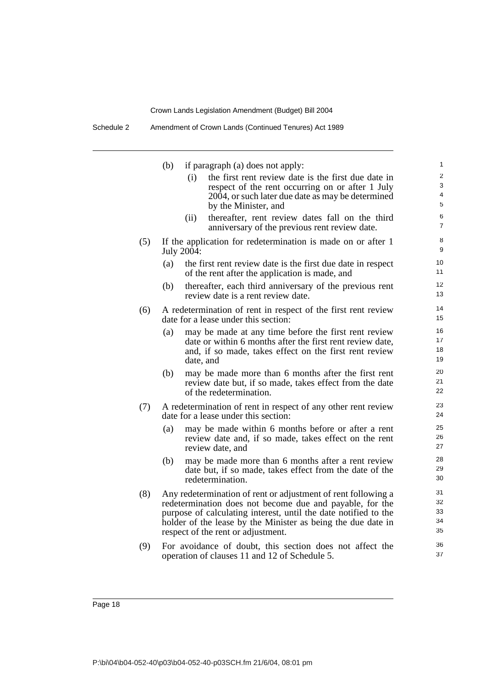Schedule 2 Amendment of Crown Lands (Continued Tenures) Act 1989

|     | (b) | if paragraph (a) does not apply:                                                                                                                                                                                                                                                                   | 1                          |
|-----|-----|----------------------------------------------------------------------------------------------------------------------------------------------------------------------------------------------------------------------------------------------------------------------------------------------------|----------------------------|
|     |     | the first rent review date is the first due date in<br>(i)<br>respect of the rent occurring on or after 1 July                                                                                                                                                                                     | $\overline{2}$<br>3<br>4   |
|     |     | 2004, or such later due date as may be determined<br>by the Minister, and                                                                                                                                                                                                                          | 5                          |
|     |     | thereafter, rent review dates fall on the third<br>(ii)<br>anniversary of the previous rent review date.                                                                                                                                                                                           | 6<br>$\overline{7}$        |
| (5) |     | If the application for redetermination is made on or after 1<br>July 2004:                                                                                                                                                                                                                         | 8<br>9                     |
|     | (a) | the first rent review date is the first due date in respect<br>of the rent after the application is made, and                                                                                                                                                                                      | 10<br>11                   |
|     | (b) | thereafter, each third anniversary of the previous rent<br>review date is a rent review date.                                                                                                                                                                                                      | 12<br>13                   |
| (6) |     | A redetermination of rent in respect of the first rent review<br>date for a lease under this section:                                                                                                                                                                                              | 14<br>15                   |
|     | (a) | may be made at any time before the first rent review                                                                                                                                                                                                                                               | 16<br>17                   |
|     |     | date or within 6 months after the first rent review date,<br>and, if so made, takes effect on the first rent review                                                                                                                                                                                | 18                         |
|     |     | date, and                                                                                                                                                                                                                                                                                          | 19                         |
|     | (b) | may be made more than 6 months after the first rent<br>review date but, if so made, takes effect from the date<br>of the redetermination.                                                                                                                                                          | 20<br>21<br>22             |
| (7) |     | A redetermination of rent in respect of any other rent review<br>date for a lease under this section:                                                                                                                                                                                              | 23<br>24                   |
|     | (a) | may be made within 6 months before or after a rent<br>review date and, if so made, takes effect on the rent<br>review date, and                                                                                                                                                                    | 25<br>26<br>27             |
|     | (b) | may be made more than 6 months after a rent review<br>date but, if so made, takes effect from the date of the<br>redetermination.                                                                                                                                                                  | 28<br>29<br>30             |
| (8) |     | Any redetermination of rent or adjustment of rent following a<br>redetermination does not become due and payable, for the<br>purpose of calculating interest, until the date notified to the<br>holder of the lease by the Minister as being the due date in<br>respect of the rent or adjustment. | 31<br>32<br>33<br>34<br>35 |
| (9) |     | For avoidance of doubt, this section does not affect the<br>operation of clauses 11 and 12 of Schedule 5.                                                                                                                                                                                          | 36<br>37                   |
|     |     |                                                                                                                                                                                                                                                                                                    |                            |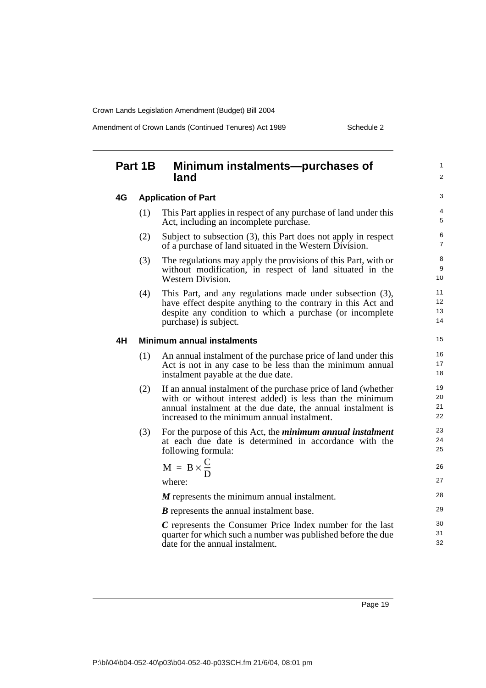Amendment of Crown Lands (Continued Tenures) Act 1989 Schedule 2

1  $\overline{2}$ 

## **Part 1B Minimum instalments—purchases of land**

**4G Application of Part**

| (1) | This Part applies in respect of any purchase of land under this |  |
|-----|-----------------------------------------------------------------|--|
|     | Act, including an incomplete purchase.                          |  |

- (2) Subject to subsection (3), this Part does not apply in respect of a purchase of land situated in the Western Division.
- (3) The regulations may apply the provisions of this Part, with or without modification, in respect of land situated in the Western Division.
- (4) This Part, and any regulations made under subsection (3), have effect despite anything to the contrary in this Act and despite any condition to which a purchase (or incomplete purchase) is subject.

#### **4H Minimum annual instalments**

- (1) An annual instalment of the purchase price of land under this Act is not in any case to be less than the minimum annual instalment payable at the due date.
- (2) If an annual instalment of the purchase price of land (whether with or without interest added) is less than the minimum annual instalment at the due date, the annual instalment is increased to the minimum annual instalment.
- (3) For the purpose of this Act, the *minimum annual instalment* at each due date is determined in accordance with the following formula:

$$
M = B \times \frac{C}{D}
$$
  
where:  
*M* represents the minimum equal integral

*M* represents the minimum annual instalment.

*B* represents the annual instalment base.

*C* represents the Consumer Price Index number for the last quarter for which such a number was published before the due date for the annual instalment.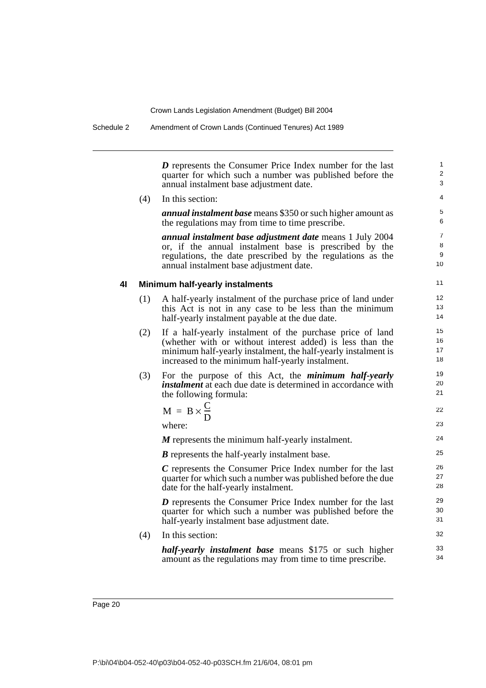Schedule 2 Amendment of Crown Lands (Continued Tenures) Act 1989

*D* represents the Consumer Price Index number for the last quarter for which such a number was published before the annual instalment base adjustment date.

(4) In this section: *annual instalment base* means \$350 or such higher amount as the regulations may from time to time prescribe.

*annual instalment base adjustment date* means 1 July 2004 or, if the annual instalment base is prescribed by the regulations, the date prescribed by the regulations as the annual instalment base adjustment date.

### **4I Minimum half-yearly instalments**

- (1) A half-yearly instalment of the purchase price of land under this Act is not in any case to be less than the minimum half-yearly instalment payable at the due date.
- (2) If a half-yearly instalment of the purchase price of land (whether with or without interest added) is less than the minimum half-yearly instalment, the half-yearly instalment is increased to the minimum half-yearly instalment.
- (3) For the purpose of this Act, the *minimum half-yearly instalment* at each due date is determined in accordance with the following formula:

$$
M = B \times \frac{C}{D}
$$

where:

*M* represents the minimum half-yearly instalment.

*B* represents the half-yearly instalment base.

*C* represents the Consumer Price Index number for the last quarter for which such a number was published before the due date for the half-yearly instalment.

*D* represents the Consumer Price Index number for the last quarter for which such a number was published before the half-yearly instalment base adjustment date.

(4) In this section:

*half-yearly instalment base* means \$175 or such higher amount as the regulations may from time to time prescribe.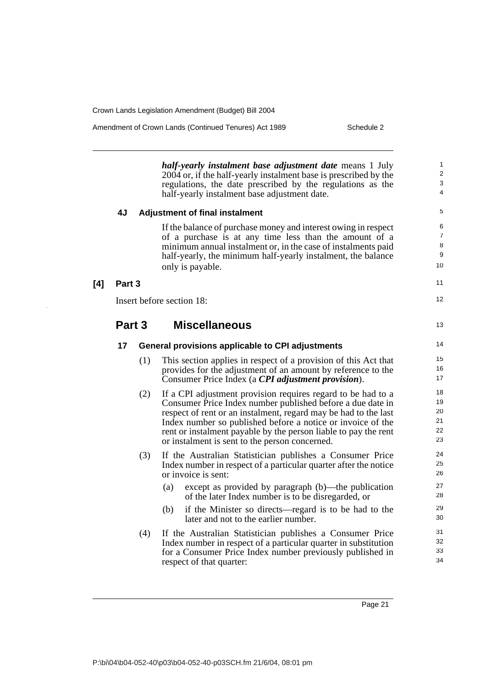**[4] Part 3**

Amendment of Crown Lands (Continued Tenures) Act 1989 Schedule 2

*half-yearly instalment base adjustment date* means 1 July 2004 or, if the half-yearly instalment base is prescribed by the regulations, the date prescribed by the regulations as the half-yearly instalment base adjustment date.

|        |     | <u>han-yearry mstamicht base aufustment uate.</u>                                                                                                                                                                                                                                                                                                                                 |                                     |
|--------|-----|-----------------------------------------------------------------------------------------------------------------------------------------------------------------------------------------------------------------------------------------------------------------------------------------------------------------------------------------------------------------------------------|-------------------------------------|
| 4J     |     | <b>Adjustment of final instalment</b>                                                                                                                                                                                                                                                                                                                                             | 5                                   |
|        |     | If the balance of purchase money and interest owing in respect<br>of a purchase is at any time less than the amount of a<br>minimum annual instalment or, in the case of instalments paid<br>half-yearly, the minimum half-yearly instalment, the balance<br>only is payable.                                                                                                     | 6<br>$\overline{7}$<br>8<br>9<br>10 |
| Part 3 |     |                                                                                                                                                                                                                                                                                                                                                                                   | 11                                  |
|        |     | Insert before section 18:                                                                                                                                                                                                                                                                                                                                                         | 12                                  |
| Part 3 |     | <b>Miscellaneous</b>                                                                                                                                                                                                                                                                                                                                                              | 13                                  |
| 17     |     | General provisions applicable to CPI adjustments                                                                                                                                                                                                                                                                                                                                  | 14                                  |
|        | (1) | This section applies in respect of a provision of this Act that<br>provides for the adjustment of an amount by reference to the<br>Consumer Price Index (a CPI adjustment provision).                                                                                                                                                                                             | 15<br>16<br>17                      |
|        | (2) | If a CPI adjustment provision requires regard to be had to a<br>Consumer Price Index number published before a due date in<br>respect of rent or an instalment, regard may be had to the last<br>Index number so published before a notice or invoice of the<br>rent or instalment payable by the person liable to pay the rent<br>or instalment is sent to the person concerned. | 18<br>19<br>20<br>21<br>22<br>23    |
|        | (3) | If the Australian Statistician publishes a Consumer Price<br>Index number in respect of a particular quarter after the notice<br>or invoice is sent:                                                                                                                                                                                                                              | 24<br>25<br>26                      |
|        |     | except as provided by paragraph (b)—the publication<br>(a)<br>of the later Index number is to be disregarded, or                                                                                                                                                                                                                                                                  | 27<br>28                            |
|        |     | if the Minister so directs—regard is to be had to the<br>(b)<br>later and not to the earlier number.                                                                                                                                                                                                                                                                              | 29<br>30                            |
|        |     |                                                                                                                                                                                                                                                                                                                                                                                   |                                     |

(4) If the Australian Statistician publishes a Consumer Price Index number in respect of a particular quarter in substitution for a Consumer Price Index number previously published in respect of that quarter: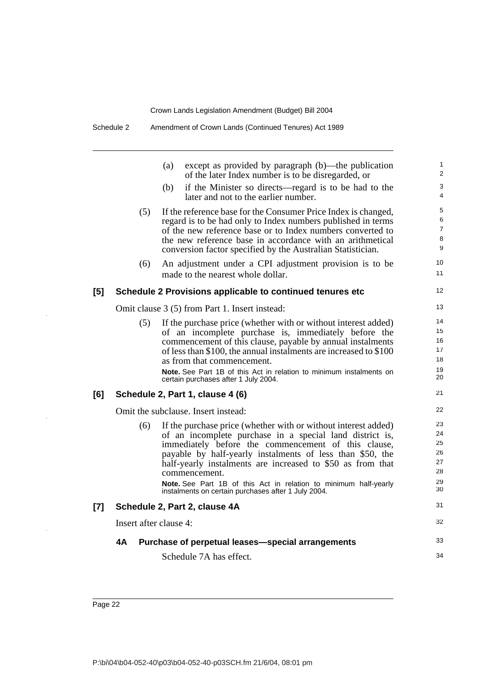Schedule 2 Amendment of Crown Lands (Continued Tenures) Act 1989

|       |                        | (a)<br>except as provided by paragraph (b)—the publication<br>of the later Index number is to be disregarded, or                                                                                                                                                                                                                                                                                                                                                | $\mathbf{1}$<br>$\overline{2}$               |
|-------|------------------------|-----------------------------------------------------------------------------------------------------------------------------------------------------------------------------------------------------------------------------------------------------------------------------------------------------------------------------------------------------------------------------------------------------------------------------------------------------------------|----------------------------------------------|
|       |                        | if the Minister so directs—regard is to be had to the<br>(b)<br>later and not to the earlier number.                                                                                                                                                                                                                                                                                                                                                            | 3<br>$\overline{4}$                          |
|       | (5)                    | If the reference base for the Consumer Price Index is changed,<br>regard is to be had only to Index numbers published in terms<br>of the new reference base or to Index numbers converted to<br>the new reference base in accordance with an arithmetical<br>conversion factor specified by the Australian Statistician.                                                                                                                                        | 5<br>6<br>$\overline{7}$<br>8<br>9           |
|       | (6)                    | An adjustment under a CPI adjustment provision is to be<br>made to the nearest whole dollar.                                                                                                                                                                                                                                                                                                                                                                    | 10<br>11                                     |
| [5]   |                        | Schedule 2 Provisions applicable to continued tenures etc                                                                                                                                                                                                                                                                                                                                                                                                       | 12                                           |
|       |                        | Omit clause 3 (5) from Part 1. Insert instead:                                                                                                                                                                                                                                                                                                                                                                                                                  | 13                                           |
|       | (5)                    | If the purchase price (whether with or without interest added)<br>of an incomplete purchase is, immediately before the<br>commencement of this clause, payable by annual instalments<br>of less than \$100, the annual instalments are increased to \$100<br>as from that commencement.<br><b>Note.</b> See Part 1B of this Act in relation to minimum instalments on<br>certain purchases after 1 July 2004.                                                   | 14<br>15<br>16<br>17<br>18<br>19<br>20       |
| [6]   |                        | Schedule 2, Part 1, clause 4 (6)                                                                                                                                                                                                                                                                                                                                                                                                                                | 21                                           |
|       |                        | Omit the subclause. Insert instead:                                                                                                                                                                                                                                                                                                                                                                                                                             | 22                                           |
|       | (6)                    | If the purchase price (whether with or without interest added)<br>of an incomplete purchase in a special land district is,<br>immediately before the commencement of this clause,<br>payable by half-yearly instalments of less than \$50, the<br>half-yearly instalments are increased to \$50 as from that<br>commencement.<br><b>Note.</b> See Part 1B of this Act in relation to minimum half-yearly<br>instalments on certain purchases after 1 July 2004. | 23<br>24<br>25<br>26<br>27<br>28<br>29<br>30 |
| $[7]$ |                        | Schedule 2, Part 2, clause 4A                                                                                                                                                                                                                                                                                                                                                                                                                                   | 31                                           |
|       | Insert after clause 4: |                                                                                                                                                                                                                                                                                                                                                                                                                                                                 | 32                                           |
|       | 4Α                     | Purchase of perpetual leases-special arrangements                                                                                                                                                                                                                                                                                                                                                                                                               | 33                                           |
|       |                        | Schedule 7A has effect.                                                                                                                                                                                                                                                                                                                                                                                                                                         | 34                                           |
|       |                        |                                                                                                                                                                                                                                                                                                                                                                                                                                                                 |                                              |

 $\bar{z}$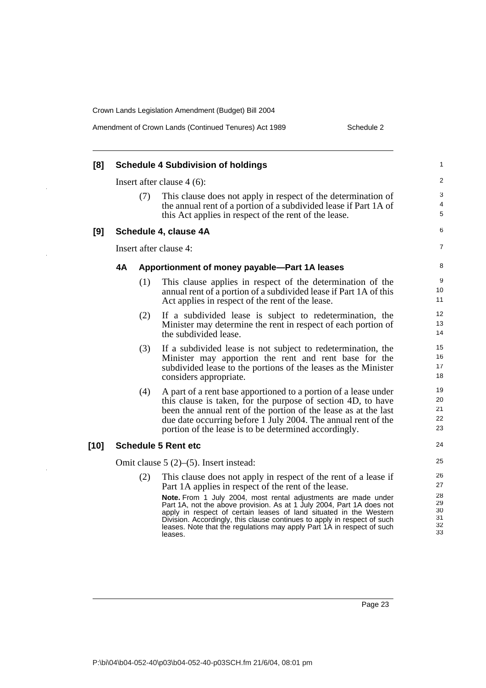J.

 $\ddot{\phantom{a}}$ 

 $\ddot{\phantom{0}}$ 

|  | Amendment of Crown Lands (Continued Tenures) Act 1989 |
|--|-------------------------------------------------------|
|--|-------------------------------------------------------|

Schedule 2

| [8]    | <b>Schedule 4 Subdivision of holdings</b>                                                                                                                                                                                                                                                                                                                                                                                                                                                                        | 1                                            |
|--------|------------------------------------------------------------------------------------------------------------------------------------------------------------------------------------------------------------------------------------------------------------------------------------------------------------------------------------------------------------------------------------------------------------------------------------------------------------------------------------------------------------------|----------------------------------------------|
|        | Insert after clause $4(6)$ :                                                                                                                                                                                                                                                                                                                                                                                                                                                                                     | 2                                            |
|        | (7)<br>This clause does not apply in respect of the determination of<br>the annual rent of a portion of a subdivided lease if Part 1A of<br>this Act applies in respect of the rent of the lease.                                                                                                                                                                                                                                                                                                                | 3<br>4<br>5                                  |
| [9]    | Schedule 4, clause 4A                                                                                                                                                                                                                                                                                                                                                                                                                                                                                            | 6                                            |
|        | Insert after clause 4:                                                                                                                                                                                                                                                                                                                                                                                                                                                                                           | 7                                            |
|        | Apportionment of money payable-Part 1A leases                                                                                                                                                                                                                                                                                                                                                                                                                                                                    | 8                                            |
|        | (1)<br>This clause applies in respect of the determination of the<br>annual rent of a portion of a subdivided lease if Part 1A of this<br>Act applies in respect of the rent of the lease.                                                                                                                                                                                                                                                                                                                       | 9<br>10<br>11                                |
|        | If a subdivided lease is subject to redetermination, the<br>(2)<br>Minister may determine the rent in respect of each portion of<br>the subdivided lease.                                                                                                                                                                                                                                                                                                                                                        | 12<br>13<br>14                               |
|        | If a subdivided lease is not subject to redetermination, the<br>(3)<br>Minister may apportion the rent and rent base for the<br>subdivided lease to the portions of the leases as the Minister<br>considers appropriate.                                                                                                                                                                                                                                                                                         | 15<br>16<br>17<br>18                         |
|        | (4)<br>A part of a rent base apportioned to a portion of a lease under<br>this clause is taken, for the purpose of section 4D, to have<br>been the annual rent of the portion of the lease as at the last<br>due date occurring before 1 July 2004. The annual rent of the<br>portion of the lease is to be determined accordingly.                                                                                                                                                                              | 19<br>20<br>21<br>22<br>23                   |
| $[10]$ | <b>Schedule 5 Rent etc</b>                                                                                                                                                                                                                                                                                                                                                                                                                                                                                       | 24                                           |
|        | Omit clause $5(2)$ – $(5)$ . Insert instead:                                                                                                                                                                                                                                                                                                                                                                                                                                                                     | 25                                           |
|        | (2)<br>This clause does not apply in respect of the rent of a lease if<br>Part 1A applies in respect of the rent of the lease.<br>Note. From 1 July 2004, most rental adjustments are made under<br>Part 1A, not the above provision. As at 1 July 2004, Part 1A does not<br>apply in respect of certain leases of land situated in the Western<br>Division. Accordingly, this clause continues to apply in respect of such<br>leases. Note that the regulations may apply Part 1A in respect of such<br>leases. | 26<br>27<br>28<br>29<br>30<br>31<br>32<br>33 |
|        |                                                                                                                                                                                                                                                                                                                                                                                                                                                                                                                  |                                              |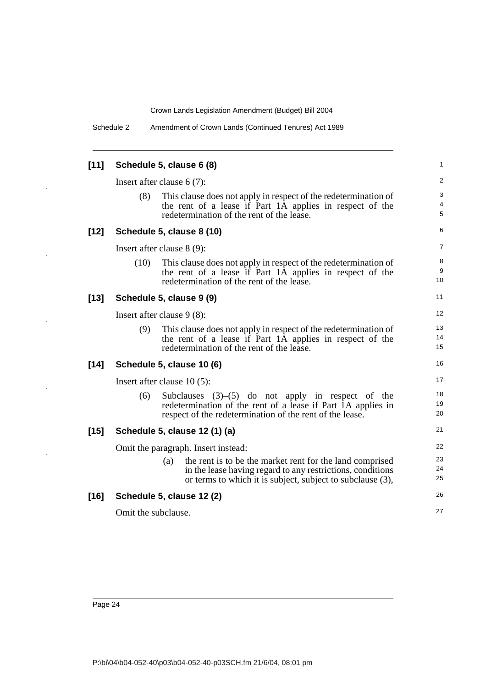| Amendment of Crown Lands (Continued Tenures) Act 1989 | Schedule 2 |  |  |
|-------------------------------------------------------|------------|--|--|
|-------------------------------------------------------|------------|--|--|

| $[11]$ |                                     | Schedule 5, clause 6 (8)                                                                                                                                                                    | 1              |  |  |
|--------|-------------------------------------|---------------------------------------------------------------------------------------------------------------------------------------------------------------------------------------------|----------------|--|--|
|        |                                     | Insert after clause $6(7)$ :                                                                                                                                                                | 2              |  |  |
|        | (8)                                 | This clause does not apply in respect of the redetermination of<br>the rent of a lease if Part 1A applies in respect of the<br>redetermination of the rent of the lease.                    | 3<br>4<br>5    |  |  |
| $[12]$ |                                     | Schedule 5, clause 8 (10)                                                                                                                                                                   | 6              |  |  |
|        |                                     | Insert after clause 8 (9):                                                                                                                                                                  | $\overline{7}$ |  |  |
|        | (10)                                | This clause does not apply in respect of the redetermination of<br>the rent of a lease if Part 1A applies in respect of the<br>redetermination of the rent of the lease.                    | 8<br>9<br>10   |  |  |
| $[13]$ |                                     | Schedule 5, clause 9 (9)                                                                                                                                                                    | 11             |  |  |
|        | Insert after clause $9(8)$ :        |                                                                                                                                                                                             |                |  |  |
|        | (9)                                 | This clause does not apply in respect of the redetermination of<br>the rent of a lease if Part 1A applies in respect of the<br>redetermination of the rent of the lease.                    | 13<br>14<br>15 |  |  |
| $[14]$ |                                     | Schedule 5, clause 10 (6)                                                                                                                                                                   | 16             |  |  |
|        | Insert after clause $10(5)$ :       |                                                                                                                                                                                             |                |  |  |
|        | (6)                                 | Subclauses $(3)$ – $(5)$ do not apply in respect of the<br>redetermination of the rent of a lease if Part 1A applies in<br>respect of the redetermination of the rent of the lease.         | 18<br>19<br>20 |  |  |
| $[15]$ |                                     | Schedule 5, clause 12 (1) (a)                                                                                                                                                               | 21             |  |  |
|        | Omit the paragraph. Insert instead: |                                                                                                                                                                                             |                |  |  |
|        |                                     | the rent is to be the market rent for the land comprised<br>(a)<br>in the lease having regard to any restrictions, conditions<br>or terms to which it is subject, subject to subclause (3), | 23<br>24<br>25 |  |  |
| $[16]$ |                                     | Schedule 5, clause 12 (2)                                                                                                                                                                   | 26             |  |  |
|        | Omit the subclause.                 |                                                                                                                                                                                             | 27             |  |  |
|        |                                     |                                                                                                                                                                                             |                |  |  |

 $\mathbb{Z}$ 

 $\overline{\phantom{a}}$ 

 $\ddot{\phantom{a}}$ 

 $\ddot{\phantom{0}}$ 

 $\bar{z}$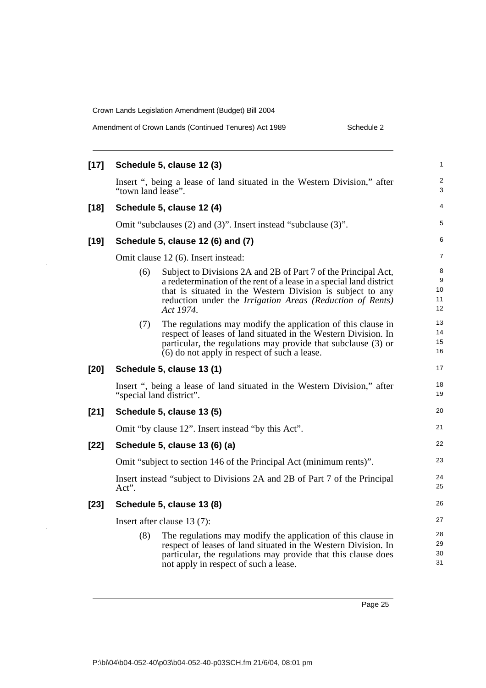$\ddot{\phantom{a}}$ 

J,

| Amendment of Crown Lands (Continued Tenures) Act 1989 | Schedule 2 |
|-------------------------------------------------------|------------|
|-------------------------------------------------------|------------|

| [17]   | Schedule 5, clause 12 (3)                                                                                                                                                                                                                                                            | $\mathbf{1}$             |
|--------|--------------------------------------------------------------------------------------------------------------------------------------------------------------------------------------------------------------------------------------------------------------------------------------|--------------------------|
|        | Insert ", being a lease of land situated in the Western Division," after<br>"town land lease".                                                                                                                                                                                       | $\overline{2}$<br>3      |
| $[18]$ | Schedule 5, clause 12 (4)                                                                                                                                                                                                                                                            | 4                        |
|        | Omit "subclauses (2) and (3)". Insert instead "subclause (3)".                                                                                                                                                                                                                       | 5                        |
| $[19]$ | Schedule 5, clause 12 (6) and (7)                                                                                                                                                                                                                                                    | 6                        |
|        | Omit clause 12 (6). Insert instead:                                                                                                                                                                                                                                                  | $\overline{7}$           |
|        | Subject to Divisions 2A and 2B of Part 7 of the Principal Act,<br>(6)<br>a redetermination of the rent of a lease in a special land district<br>that is situated in the Western Division is subject to any<br>reduction under the Irrigation Areas (Reduction of Rents)<br>Act 1974. | 8<br>9<br>10<br>11<br>12 |
|        | The regulations may modify the application of this clause in<br>(7)<br>respect of leases of land situated in the Western Division. In<br>particular, the regulations may provide that subclause (3) or<br>(6) do not apply in respect of such a lease.                               | 13<br>14<br>15<br>16     |
| $[20]$ | Schedule 5, clause 13 (1)                                                                                                                                                                                                                                                            | 17                       |
|        | Insert ", being a lease of land situated in the Western Division," after<br>"special land district".                                                                                                                                                                                 | 18<br>19                 |
| [21]   | Schedule 5, clause 13 (5)                                                                                                                                                                                                                                                            | 20                       |
|        | Omit "by clause 12". Insert instead "by this Act".                                                                                                                                                                                                                                   | 21                       |
| $[22]$ | Schedule 5, clause 13 (6) (a)                                                                                                                                                                                                                                                        | 22                       |
|        | Omit "subject to section 146 of the Principal Act (minimum rents)".                                                                                                                                                                                                                  | 23                       |
|        | Insert instead "subject to Divisions 2A and 2B of Part 7 of the Principal<br>Act".                                                                                                                                                                                                   | 24<br>25                 |
| $[23]$ | Schedule 5, clause 13 (8)                                                                                                                                                                                                                                                            | 26                       |
|        | Insert after clause 13 (7):                                                                                                                                                                                                                                                          | 27                       |
|        | (8)<br>The regulations may modify the application of this clause in<br>respect of leases of land situated in the Western Division. In<br>particular, the regulations may provide that this clause does<br>not apply in respect of such a lease.                                      | 28<br>29<br>30<br>31     |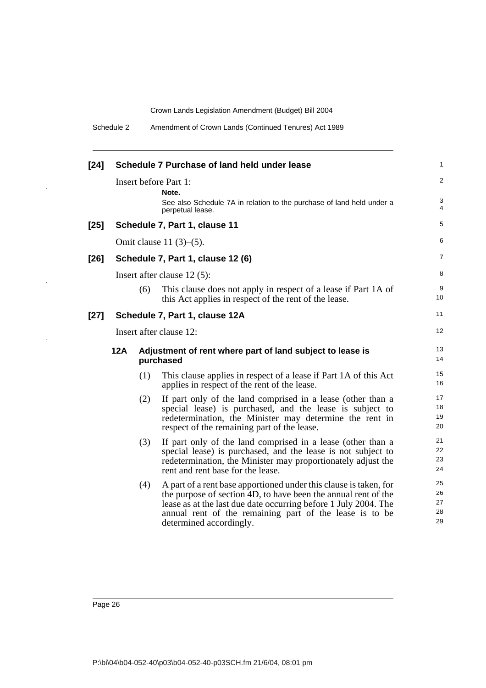Schedule 2 Amendment of Crown Lands (Continued Tenures) Act 1989

| $[24]$ |     |     | Schedule 7 Purchase of land held under lease                                                                                                                                                                                                                                                 | 1                          |
|--------|-----|-----|----------------------------------------------------------------------------------------------------------------------------------------------------------------------------------------------------------------------------------------------------------------------------------------------|----------------------------|
|        |     |     | Insert before Part 1:<br>Note.                                                                                                                                                                                                                                                               | $\overline{c}$             |
|        |     |     | See also Schedule 7A in relation to the purchase of land held under a<br>perpetual lease.                                                                                                                                                                                                    | 3<br>4                     |
| $[25]$ |     |     | Schedule 7, Part 1, clause 11                                                                                                                                                                                                                                                                | 5                          |
|        |     |     | Omit clause $11(3)–(5)$ .                                                                                                                                                                                                                                                                    | 6                          |
| $[26]$ |     |     | Schedule 7, Part 1, clause 12 (6)                                                                                                                                                                                                                                                            | 7                          |
|        |     |     | Insert after clause $12(5)$ :                                                                                                                                                                                                                                                                | 8                          |
|        |     | (6) | This clause does not apply in respect of a lease if Part 1A of<br>this Act applies in respect of the rent of the lease.                                                                                                                                                                      | 9<br>10                    |
| $[27]$ |     |     | Schedule 7, Part 1, clause 12A                                                                                                                                                                                                                                                               | 11                         |
|        |     |     | Insert after clause 12:                                                                                                                                                                                                                                                                      | 12                         |
|        | 12A |     | Adjustment of rent where part of land subject to lease is<br>purchased                                                                                                                                                                                                                       | 13<br>14                   |
|        |     | (1) | This clause applies in respect of a lease if Part 1A of this Act<br>applies in respect of the rent of the lease.                                                                                                                                                                             | 15<br>16                   |
|        |     | (2) | If part only of the land comprised in a lease (other than a<br>special lease) is purchased, and the lease is subject to<br>redetermination, the Minister may determine the rent in<br>respect of the remaining part of the lease.                                                            | 17<br>18<br>19<br>20       |
|        |     | (3) | If part only of the land comprised in a lease (other than a<br>special lease) is purchased, and the lease is not subject to<br>redetermination, the Minister may proportionately adjust the<br>rent and rent base for the lease.                                                             | 21<br>22<br>23<br>24       |
|        |     | (4) | A part of a rent base apportioned under this clause is taken, for<br>the purpose of section 4D, to have been the annual rent of the<br>lease as at the last due date occurring before 1 July 2004. The<br>annual rent of the remaining part of the lease is to be<br>determined accordingly. | 25<br>26<br>27<br>28<br>29 |

 $\overline{a}$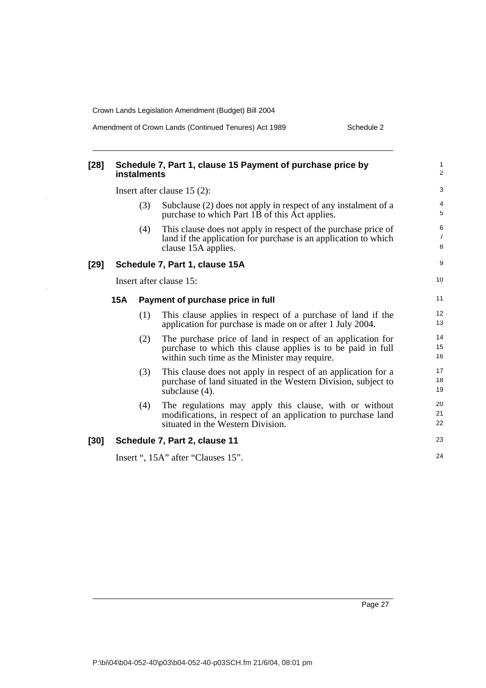J.

Amendment of Crown Lands (Continued Tenures) Act 1989 Schedule 2

| $[28]$ | Schedule 7, Part 1, clause 15 Payment of purchase price by<br>instalments |                         |                                                                                                                                                                             |                                |
|--------|---------------------------------------------------------------------------|-------------------------|-----------------------------------------------------------------------------------------------------------------------------------------------------------------------------|--------------------------------|
|        |                                                                           |                         | Insert after clause $15(2)$ :                                                                                                                                               | $\ensuremath{\mathsf{3}}$      |
|        |                                                                           | (3)                     | Subclause (2) does not apply in respect of any instalment of a<br>purchase to which Part 1B of this Act applies.                                                            | $\overline{4}$<br>5            |
|        |                                                                           | (4)                     | This clause does not apply in respect of the purchase price of<br>land if the application for purchase is an application to which<br>clause 15A applies.                    | 6<br>$\overline{7}$<br>$\,8\,$ |
| $[29]$ |                                                                           |                         | Schedule 7, Part 1, clause 15A                                                                                                                                              | 9                              |
|        |                                                                           | Insert after clause 15: |                                                                                                                                                                             |                                |
|        | 15A                                                                       |                         | Payment of purchase price in full                                                                                                                                           | 11                             |
|        |                                                                           | (1)                     | This clause applies in respect of a purchase of land if the<br>application for purchase is made on or after 1 July 2004.                                                    | 12<br>13                       |
|        |                                                                           | (2)                     | The purchase price of land in respect of an application for<br>purchase to which this clause applies is to be paid in full<br>within such time as the Minister may require. | 14<br>15<br>16                 |
|        |                                                                           | (3)                     | This clause does not apply in respect of an application for a<br>purchase of land situated in the Western Division, subject to<br>subclause (4).                            | 17<br>18<br>19                 |
|        |                                                                           | (4)                     | The regulations may apply this clause, with or without<br>modifications, in respect of an application to purchase land<br>situated in the Western Division.                 | 20<br>21<br>22                 |
| [30]   |                                                                           |                         | Schedule 7, Part 2, clause 11                                                                                                                                               | 23                             |
|        |                                                                           |                         | Insert ", 15A" after "Clauses 15".                                                                                                                                          | 24                             |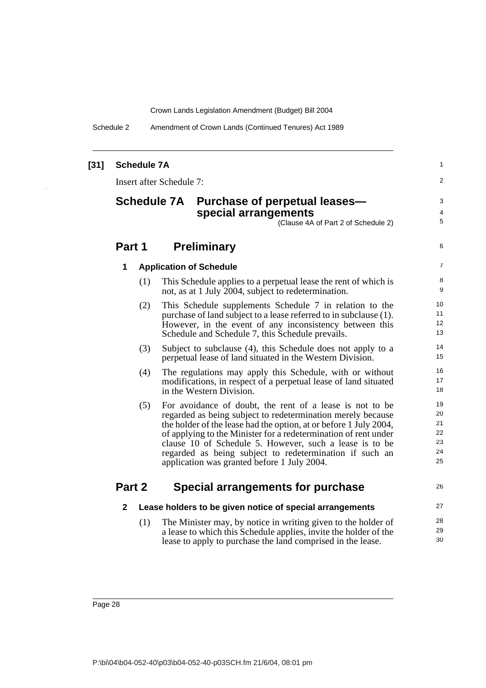Schedule 2 Amendment of Crown Lands (Continued Tenures) Act 1989

| $[31]$ |                    | <b>Schedule 7A</b> |                                 |                                                                                                                                                                                                                                                                                                                                                                                                                                      | 1                                      |
|--------|--------------------|--------------------|---------------------------------|--------------------------------------------------------------------------------------------------------------------------------------------------------------------------------------------------------------------------------------------------------------------------------------------------------------------------------------------------------------------------------------------------------------------------------------|----------------------------------------|
|        |                    |                    | <b>Insert after Schedule 7:</b> |                                                                                                                                                                                                                                                                                                                                                                                                                                      | 2                                      |
|        | <b>Schedule 7A</b> |                    |                                 | Purchase of perpetual leases-<br>special arrangements<br>(Clause 4A of Part 2 of Schedule 2)                                                                                                                                                                                                                                                                                                                                         | 3<br>4<br>5                            |
|        | Part 1             |                    |                                 | <b>Preliminary</b>                                                                                                                                                                                                                                                                                                                                                                                                                   | 6                                      |
|        | 1                  |                    |                                 | <b>Application of Schedule</b>                                                                                                                                                                                                                                                                                                                                                                                                       | 7                                      |
|        |                    | (1)                |                                 | This Schedule applies to a perpetual lease the rent of which is<br>not, as at 1 July 2004, subject to redetermination.                                                                                                                                                                                                                                                                                                               | 8<br>9                                 |
|        |                    | (2)                |                                 | This Schedule supplements Schedule 7 in relation to the<br>purchase of land subject to a lease referred to in subclause (1).<br>However, in the event of any inconsistency between this<br>Schedule and Schedule 7, this Schedule prevails.                                                                                                                                                                                          | 10<br>11<br>12<br>13                   |
|        |                    | (3)                |                                 | Subject to subclause (4), this Schedule does not apply to a<br>perpetual lease of land situated in the Western Division.                                                                                                                                                                                                                                                                                                             | 14<br>15                               |
|        |                    | (4)                |                                 | The regulations may apply this Schedule, with or without<br>modifications, in respect of a perpetual lease of land situated<br>in the Western Division.                                                                                                                                                                                                                                                                              | 16<br>17<br>18                         |
|        |                    | (5)                |                                 | For avoidance of doubt, the rent of a lease is not to be<br>regarded as being subject to redetermination merely because<br>the holder of the lease had the option, at or before 1 July 2004,<br>of applying to the Minister for a redetermination of rent under<br>clause 10 of Schedule 5. However, such a lease is to be<br>regarded as being subject to redetermination if such an<br>application was granted before 1 July 2004. | 19<br>20<br>21<br>22<br>23<br>24<br>25 |
|        | Part 2             |                    |                                 | Special arrangements for purchase                                                                                                                                                                                                                                                                                                                                                                                                    | 26                                     |
|        | $\mathbf{2}$       |                    |                                 | Lease holders to be given notice of special arrangements                                                                                                                                                                                                                                                                                                                                                                             | 27                                     |
|        |                    | (1)                |                                 | The Minister may, by notice in writing given to the holder of<br>a lease to which this Schedule applies, invite the holder of the<br>lease to apply to purchase the land comprised in the lease.                                                                                                                                                                                                                                     | 28<br>29<br>30                         |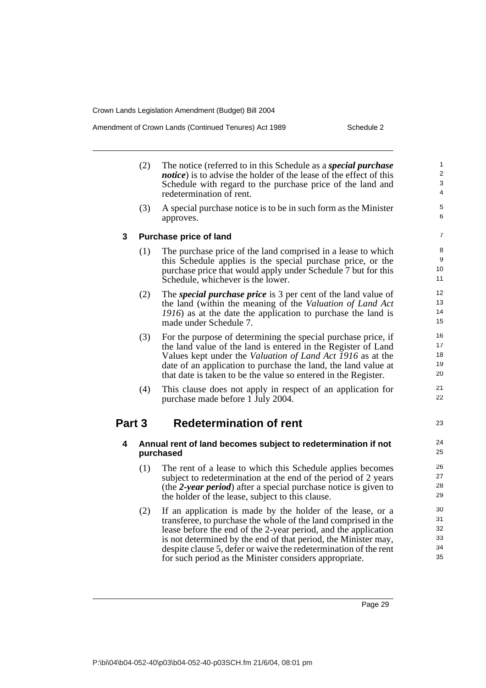Amendment of Crown Lands (Continued Tenures) Act 1989 Schedule 2

|        | (2) | The notice (referred to in this Schedule as a <i>special purchase</i><br><i>notice</i> ) is to advise the holder of the lease of the effect of this<br>Schedule with regard to the purchase price of the land and<br>redetermination of rent.                                                                                                                                                  | 1<br>$\overline{2}$<br>3<br>$\overline{4}$ |
|--------|-----|------------------------------------------------------------------------------------------------------------------------------------------------------------------------------------------------------------------------------------------------------------------------------------------------------------------------------------------------------------------------------------------------|--------------------------------------------|
|        | (3) | A special purchase notice is to be in such form as the Minister<br>approves.                                                                                                                                                                                                                                                                                                                   | 5<br>6                                     |
| 3      |     | <b>Purchase price of land</b>                                                                                                                                                                                                                                                                                                                                                                  | $\overline{7}$                             |
|        | (1) | The purchase price of the land comprised in a lease to which<br>this Schedule applies is the special purchase price, or the<br>purchase price that would apply under Schedule 7 but for this<br>Schedule, whichever is the lower.                                                                                                                                                              | 8<br>9<br>10<br>11                         |
|        | (2) | The <i>special purchase price</i> is 3 per cent of the land value of<br>the land (within the meaning of the Valuation of Land Act<br>1916) as at the date the application to purchase the land is<br>made under Schedule 7.                                                                                                                                                                    | 12<br>13<br>14<br>15                       |
|        | (3) | For the purpose of determining the special purchase price, if<br>the land value of the land is entered in the Register of Land<br>Values kept under the Valuation of Land Act 1916 as at the<br>date of an application to purchase the land, the land value at<br>that date is taken to be the value so entered in the Register.                                                               | 16<br>17<br>18<br>19<br>20                 |
|        | (4) | This clause does not apply in respect of an application for<br>purchase made before 1 July 2004.                                                                                                                                                                                                                                                                                               | 21<br>22                                   |
| Part 3 |     | <b>Redetermination of rent</b>                                                                                                                                                                                                                                                                                                                                                                 | 23                                         |
| 4      |     | Annual rent of land becomes subject to redetermination if not<br>purchased                                                                                                                                                                                                                                                                                                                     | 24<br>25                                   |
|        | (1) | The rent of a lease to which this Schedule applies becomes<br>subject to redetermination at the end of the period of 2 years<br>(the 2-year period) after a special purchase notice is given to<br>the holder of the lease, subject to this clause.                                                                                                                                            | 26<br>27<br>28<br>29                       |
|        | (2) | If an application is made by the holder of the lease, or a<br>transferee, to purchase the whole of the land comprised in the<br>lease before the end of the 2-year period, and the application<br>is not determined by the end of that period, the Minister may,<br>despite clause 5, defer or waive the redetermination of the rent<br>for such period as the Minister considers appropriate. | 30<br>31<br>32<br>33<br>34<br>35           |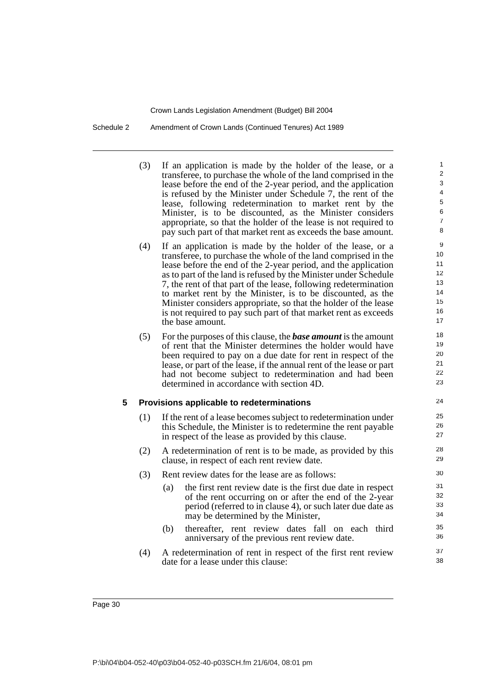Schedule 2 Amendment of Crown Lands (Continued Tenures) Act 1989

(3) If an application is made by the holder of the lease, or a transferee, to purchase the whole of the land comprised in the lease before the end of the 2-year period, and the application is refused by the Minister under Schedule 7, the rent of the lease, following redetermination to market rent by the Minister, is to be discounted, as the Minister considers appropriate, so that the holder of the lease is not required to pay such part of that market rent as exceeds the base amount.

- (4) If an application is made by the holder of the lease, or a transferee, to purchase the whole of the land comprised in the lease before the end of the 2-year period, and the application as to part of the land is refused by the Minister under Schedule 7, the rent of that part of the lease, following redetermination to market rent by the Minister, is to be discounted, as the Minister considers appropriate, so that the holder of the lease is not required to pay such part of that market rent as exceeds the base amount.
- (5) For the purposes of this clause, the *base amount* is the amount of rent that the Minister determines the holder would have been required to pay on a due date for rent in respect of the lease, or part of the lease, if the annual rent of the lease or part had not become subject to redetermination and had been determined in accordance with section 4D.

### **5 Provisions applicable to redeterminations**

- (1) If the rent of a lease becomes subject to redetermination under this Schedule, the Minister is to redetermine the rent payable in respect of the lease as provided by this clause.
- (2) A redetermination of rent is to be made, as provided by this clause, in respect of each rent review date.
- (3) Rent review dates for the lease are as follows:
	- (a) the first rent review date is the first due date in respect of the rent occurring on or after the end of the 2-year period (referred to in clause 4), or such later due date as may be determined by the Minister,
	- (b) thereafter, rent review dates fall on each third anniversary of the previous rent review date.
- (4) A redetermination of rent in respect of the first rent review date for a lease under this clause: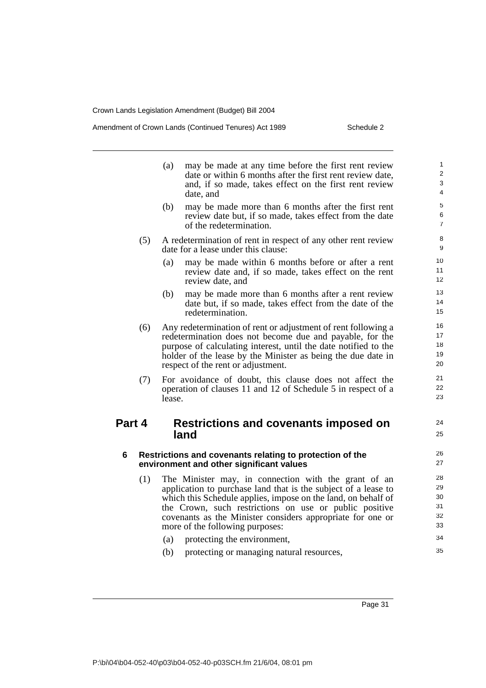Amendment of Crown Lands (Continued Tenures) Act 1989 Schedule 2

24 25

35

- (a) may be made at any time before the first rent review date or within 6 months after the first rent review date, and, if so made, takes effect on the first rent review date, and
- (b) may be made more than 6 months after the first rent review date but, if so made, takes effect from the date of the redetermination.
- (5) A redetermination of rent in respect of any other rent review date for a lease under this clause:
	- (a) may be made within 6 months before or after a rent review date and, if so made, takes effect on the rent review date, and
	- (b) may be made more than 6 months after a rent review date but, if so made, takes effect from the date of the redetermination.
- (6) Any redetermination of rent or adjustment of rent following a redetermination does not become due and payable, for the purpose of calculating interest, until the date notified to the holder of the lease by the Minister as being the due date in respect of the rent or adjustment.
- (7) For avoidance of doubt, this clause does not affect the operation of clauses 11 and 12 of Schedule 5 in respect of a lease.

### **Part 4 Restrictions and covenants imposed on land**

#### **6 Restrictions and covenants relating to protection of the environment and other significant values**

- (1) The Minister may, in connection with the grant of an application to purchase land that is the subject of a lease to which this Schedule applies, impose on the land, on behalf of the Crown, such restrictions on use or public positive covenants as the Minister considers appropriate for one or more of the following purposes:
	- (a) protecting the environment, 34
	- (b) protecting or managing natural resources,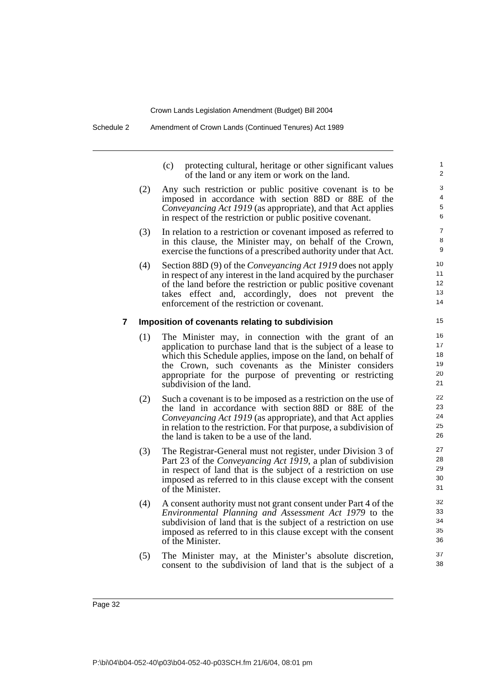Schedule 2 Amendment of Crown Lands (Continued Tenures) Act 1989

(c) protecting cultural, heritage or other significant values of the land or any item or work on the land.

- (2) Any such restriction or public positive covenant is to be imposed in accordance with section 88D or 88E of the *Conveyancing Act 1919* (as appropriate), and that Act applies in respect of the restriction or public positive covenant.
- (3) In relation to a restriction or covenant imposed as referred to in this clause, the Minister may, on behalf of the Crown, exercise the functions of a prescribed authority under that Act.
- (4) Section 88D (9) of the *Conveyancing Act 1919* does not apply in respect of any interest in the land acquired by the purchaser of the land before the restriction or public positive covenant takes effect and, accordingly, does not prevent the enforcement of the restriction or covenant.

#### **7 Imposition of covenants relating to subdivision**

- (1) The Minister may, in connection with the grant of an application to purchase land that is the subject of a lease to which this Schedule applies, impose on the land, on behalf of the Crown, such covenants as the Minister considers appropriate for the purpose of preventing or restricting subdivision of the land.
- (2) Such a covenant is to be imposed as a restriction on the use of the land in accordance with section 88D or 88E of the *Conveyancing Act 1919* (as appropriate), and that Act applies in relation to the restriction. For that purpose, a subdivision of the land is taken to be a use of the land.
- (3) The Registrar-General must not register, under Division 3 of Part 23 of the *Conveyancing Act 1919*, a plan of subdivision in respect of land that is the subject of a restriction on use imposed as referred to in this clause except with the consent of the Minister.
- (4) A consent authority must not grant consent under Part 4 of the *Environmental Planning and Assessment Act 1979* to the subdivision of land that is the subject of a restriction on use imposed as referred to in this clause except with the consent of the Minister.
- (5) The Minister may, at the Minister's absolute discretion, consent to the subdivision of land that is the subject of a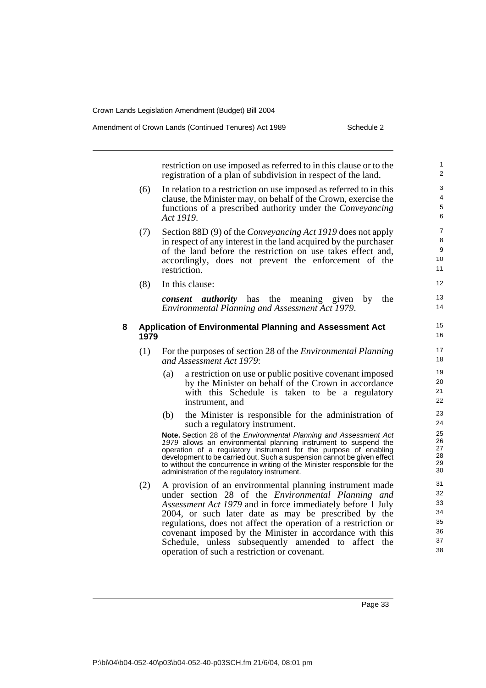Amendment of Crown Lands (Continued Tenures) Act 1989 Schedule 2

restriction on use imposed as referred to in this clause or to the registration of a plan of subdivision in respect of the land.

- (6) In relation to a restriction on use imposed as referred to in this clause, the Minister may, on behalf of the Crown, exercise the functions of a prescribed authority under the *Conveyancing Act 1919*.
- (7) Section 88D (9) of the *Conveyancing Act 1919* does not apply in respect of any interest in the land acquired by the purchaser of the land before the restriction on use takes effect and, accordingly, does not prevent the enforcement of the restriction.
- (8) In this clause:

*consent authority* has the meaning given by the *Environmental Planning and Assessment Act 1979*.

### **8 Application of Environmental Planning and Assessment Act 1979**

- (1) For the purposes of section 28 of the *Environmental Planning and Assessment Act 1979*:
	- (a) a restriction on use or public positive covenant imposed by the Minister on behalf of the Crown in accordance with this Schedule is taken to be a regulatory instrument, and
	- (b) the Minister is responsible for the administration of such a regulatory instrument.

**Note.** Section 28 of the *Environmental Planning and Assessment Act 1979* allows an environmental planning instrument to suspend the operation of a regulatory instrument for the purpose of enabling development to be carried out. Such a suspension cannot be given effect to without the concurrence in writing of the Minister responsible for the administration of the regulatory instrument.

(2) A provision of an environmental planning instrument made under section 28 of the *Environmental Planning and Assessment Act 1979* and in force immediately before 1 July 2004, or such later date as may be prescribed by the regulations, does not affect the operation of a restriction or covenant imposed by the Minister in accordance with this Schedule, unless subsequently amended to affect the operation of such a restriction or covenant.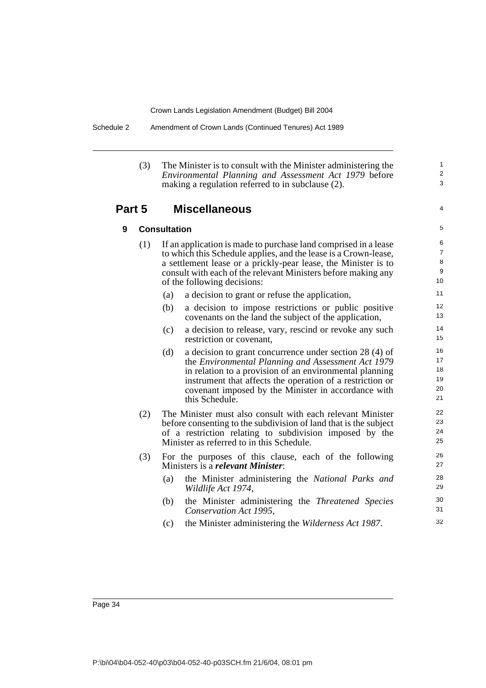Schedule 2 Amendment of Crown Lands (Continued Tenures) Act 1989

(3) The Minister is to consult with the Minister administering the *Environmental Planning and Assessment Act 1979* before making a regulation referred to in subclause (2).

### **Part 5 Miscellaneous**

5

4

1  $\overline{2}$ 3

## **9 Consultation**

- (1) If an application is made to purchase land comprised in a lease to which this Schedule applies, and the lease is a Crown-lease, a settlement lease or a prickly-pear lease, the Minister is to consult with each of the relevant Ministers before making any of the following decisions:
	- (a) a decision to grant or refuse the application,
	- (b) a decision to impose restrictions or public positive covenants on the land the subject of the application,
	- (c) a decision to release, vary, rescind or revoke any such restriction or covenant,
	- (d) a decision to grant concurrence under section 28 (4) of the *Environmental Planning and Assessment Act 1979* in relation to a provision of an environmental planning instrument that affects the operation of a restriction or covenant imposed by the Minister in accordance with this Schedule.
- (2) The Minister must also consult with each relevant Minister before consenting to the subdivision of land that is the subject of a restriction relating to subdivision imposed by the Minister as referred to in this Schedule.
- (3) For the purposes of this clause, each of the following Ministers is a *relevant Minister*:
	- (a) the Minister administering the *National Parks and Wildlife Act 1974*,
	- (b) the Minister administering the *Threatened Species Conservation Act 1995*,
	- (c) the Minister administering the *Wilderness Act 1987*.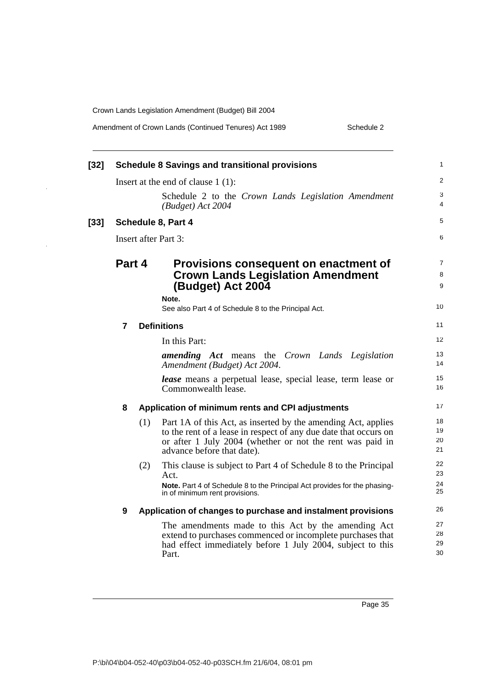$\hat{\mathcal{A}}$ 

 $\ddot{\phantom{a}}$ 

| Amendment of Crown Lands (Continued Tenures) Act 1989 | Schedule 2 |
|-------------------------------------------------------|------------|
|                                                       |            |

| $[32]$ |        |     | <b>Schedule 8 Savings and transitional provisions</b>                                                                                                                                                                        | 1                    |
|--------|--------|-----|------------------------------------------------------------------------------------------------------------------------------------------------------------------------------------------------------------------------------|----------------------|
|        |        |     | Insert at the end of clause $1(1)$ :                                                                                                                                                                                         | 2                    |
|        |        |     | Schedule 2 to the Crown Lands Legislation Amendment<br>$(Budget)$ Act 2004                                                                                                                                                   | 3<br>4               |
| $[33]$ |        |     | <b>Schedule 8, Part 4</b>                                                                                                                                                                                                    | 5                    |
|        |        |     | Insert after Part 3:                                                                                                                                                                                                         | 6                    |
|        | Part 4 |     | Provisions consequent on enactment of<br><b>Crown Lands Legislation Amendment</b><br>(Budget) Act 2004<br>Note.<br>See also Part 4 of Schedule 8 to the Principal Act.                                                       | 7<br>8<br>9<br>10    |
|        |        |     | <b>Definitions</b>                                                                                                                                                                                                           | 11                   |
|        | 7      |     | In this Part:                                                                                                                                                                                                                | 12                   |
|        |        |     | <b>amending</b> Act means the Crown Lands Legislation<br>Amendment (Budget) Act 2004.                                                                                                                                        | 13<br>14             |
|        |        |     | <i>lease</i> means a perpetual lease, special lease, term lease or<br>Commonwealth lease.                                                                                                                                    | 15<br>16             |
|        | 8      |     | Application of minimum rents and CPI adjustments                                                                                                                                                                             | 17                   |
|        |        | (1) | Part 1A of this Act, as inserted by the amending Act, applies<br>to the rent of a lease in respect of any due date that occurs on<br>or after 1 July 2004 (whether or not the rent was paid in<br>advance before that date). | 18<br>19<br>20<br>21 |
|        |        | (2) | This clause is subject to Part 4 of Schedule 8 to the Principal<br>Act.                                                                                                                                                      | 22<br>23             |
|        |        |     | Note. Part 4 of Schedule 8 to the Principal Act provides for the phasing-<br>in of minimum rent provisions.                                                                                                                  | 24<br>25             |
|        | 9      |     | Application of changes to purchase and instalment provisions                                                                                                                                                                 | 26                   |
|        |        |     | The amendments made to this Act by the amending Act<br>extend to purchases commenced or incomplete purchases that<br>had effect immediately before 1 July 2004, subject to this<br>Part.                                     | 27<br>28<br>29<br>30 |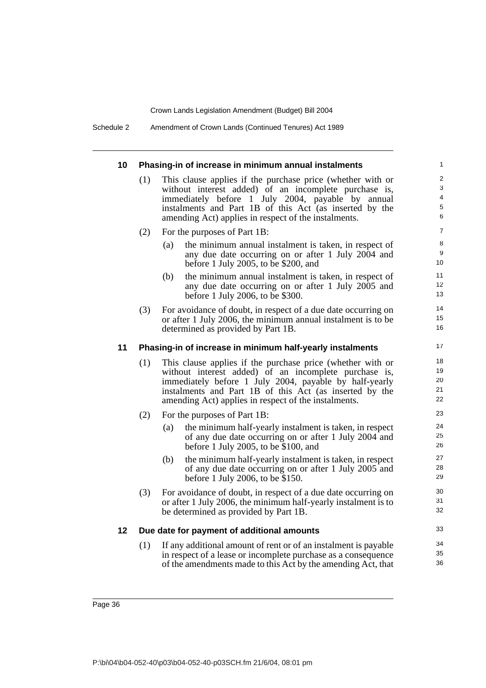Schedule 2 Amendment of Crown Lands (Continued Tenures) Act 1989

| 10 | Phasing-in of increase in minimum annual instalments |                                                                                                                                                                                                                                                                                                  |                                                                    |  |  |
|----|------------------------------------------------------|--------------------------------------------------------------------------------------------------------------------------------------------------------------------------------------------------------------------------------------------------------------------------------------------------|--------------------------------------------------------------------|--|--|
|    | (1)                                                  | This clause applies if the purchase price (whether with or<br>without interest added) of an incomplete purchase is,<br>immediately before 1 July 2004, payable by annual<br>instalments and Part 1B of this Act (as inserted by the<br>amending Act) applies in respect of the instalments.      | $\overline{\mathbf{c}}$<br>3<br>$\overline{4}$<br>$\mathbf 5$<br>6 |  |  |
|    | (2)                                                  | For the purposes of Part 1B:                                                                                                                                                                                                                                                                     | $\boldsymbol{7}$                                                   |  |  |
|    |                                                      | the minimum annual instalment is taken, in respect of<br>(a)<br>any due date occurring on or after 1 July 2004 and<br>before 1 July 2005, to be \$200, and                                                                                                                                       | 8<br>9<br>10                                                       |  |  |
|    |                                                      | the minimum annual instalment is taken, in respect of<br>(b)<br>any due date occurring on or after 1 July 2005 and<br>before 1 July 2006, to be \$300.                                                                                                                                           | 11<br>12<br>13                                                     |  |  |
|    | (3)                                                  | For avoidance of doubt, in respect of a due date occurring on<br>or after 1 July 2006, the minimum annual instalment is to be<br>determined as provided by Part 1B.                                                                                                                              | 14<br>15<br>16                                                     |  |  |
| 11 |                                                      | Phasing-in of increase in minimum half-yearly instalments                                                                                                                                                                                                                                        | 17                                                                 |  |  |
|    | (1)                                                  | This clause applies if the purchase price (whether with or<br>without interest added) of an incomplete purchase is,<br>immediately before 1 July 2004, payable by half-yearly<br>instalments and Part 1B of this Act (as inserted by the<br>amending Act) applies in respect of the instalments. | 18<br>19<br>20<br>21<br>22                                         |  |  |
|    | (2)                                                  | For the purposes of Part 1B:                                                                                                                                                                                                                                                                     | 23                                                                 |  |  |
|    |                                                      | (a)<br>the minimum half-yearly instalment is taken, in respect<br>of any due date occurring on or after 1 July 2004 and<br>before 1 July 2005, to be \$100, and                                                                                                                                  | 24<br>25<br>26                                                     |  |  |
|    |                                                      | the minimum half-yearly instalment is taken, in respect<br>(b)<br>of any due date occurring on or after 1 July 2005 and<br>before 1 July 2006, to be \$150.                                                                                                                                      | 27<br>28<br>29                                                     |  |  |
|    | (3)                                                  | For avoidance of doubt, in respect of a due date occurring on<br>or after 1 July 2006, the minimum half-yearly instalment is to<br>be determined as provided by Part 1B.                                                                                                                         | 30<br>31<br>32                                                     |  |  |
| 12 |                                                      | Due date for payment of additional amounts                                                                                                                                                                                                                                                       | 33                                                                 |  |  |
|    | (1)                                                  | If any additional amount of rent or of an instalment is payable<br>in respect of a lease or incomplete purchase as a consequence<br>of the amendments made to this Act by the amending Act, that                                                                                                 | 34<br>35<br>36                                                     |  |  |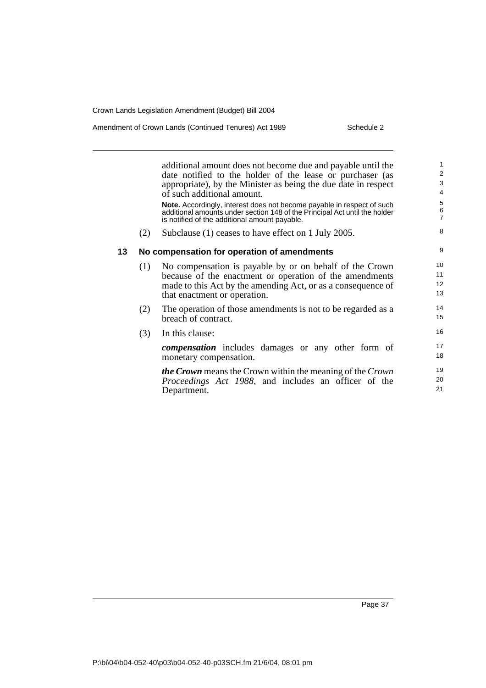Amendment of Crown Lands (Continued Tenures) Act 1989 Schedule 2

|    |     | additional amount does not become due and payable until the<br>date notified to the holder of the lease or purchaser (as<br>appropriate), by the Minister as being the due date in respect<br>of such additional amount. | $\mathbf{1}$<br>$\overline{2}$<br>3<br>$\overline{4}$ |
|----|-----|--------------------------------------------------------------------------------------------------------------------------------------------------------------------------------------------------------------------------|-------------------------------------------------------|
|    |     | Note. Accordingly, interest does not become payable in respect of such<br>additional amounts under section 148 of the Principal Act until the holder<br>is notified of the additional amount payable.                    | $\sqrt{5}$<br>$\frac{6}{7}$                           |
|    | (2) | Subclause (1) ceases to have effect on 1 July 2005.                                                                                                                                                                      | 8                                                     |
| 13 |     | No compensation for operation of amendments                                                                                                                                                                              | 9                                                     |
|    | (1) | No compensation is payable by or on behalf of the Crown<br>because of the enactment or operation of the amendments<br>made to this Act by the amending Act, or as a consequence of<br>that enactment or operation.       | 10<br>11<br>12<br>13                                  |
|    | (2) | The operation of those amendments is not to be regarded as a<br>breach of contract.                                                                                                                                      | 14<br>15                                              |
|    | (3) | In this clause:                                                                                                                                                                                                          | 16                                                    |
|    |     | <b><i>compensation</i></b> includes damages or any other form of<br>monetary compensation.                                                                                                                               | 17<br>18                                              |
|    |     | <b><i>the Crown</i></b> means the Crown within the meaning of the Crown<br><i>Proceedings Act 1988</i> , and includes an officer of the<br>Department.                                                                   | 19<br>20<br>21                                        |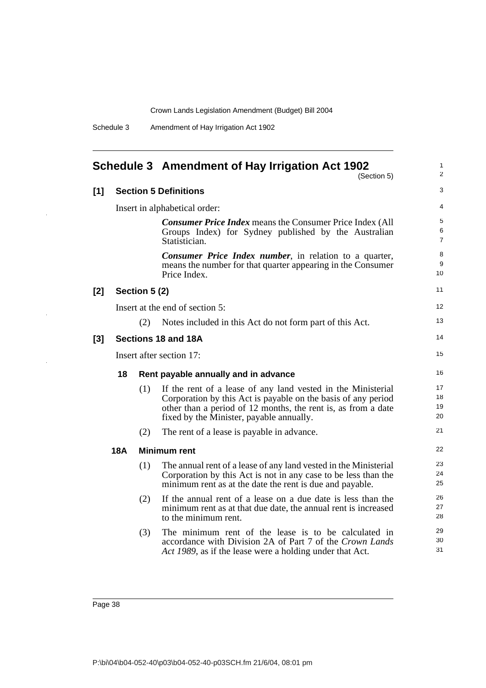| Schedule 3 | Amendment of Hay Irrigation Act 1902 |  |  |
|------------|--------------------------------------|--|--|
|            |                                      |  |  |

<span id="page-47-0"></span>

|       |     |               | Schedule 3 Amendment of Hay Irrigation Act 1902<br>(Section 5)                                                                                                                                                                             | 1<br>$\overline{c}$  |
|-------|-----|---------------|--------------------------------------------------------------------------------------------------------------------------------------------------------------------------------------------------------------------------------------------|----------------------|
| [1]   |     |               | <b>Section 5 Definitions</b>                                                                                                                                                                                                               | 3                    |
|       |     |               | Insert in alphabetical order:                                                                                                                                                                                                              | 4                    |
|       |     |               | <b>Consumer Price Index means the Consumer Price Index (All</b><br>Groups Index) for Sydney published by the Australian<br>Statistician.                                                                                                   | 5<br>6<br>7          |
|       |     |               | <b>Consumer Price Index number</b> , in relation to a quarter,<br>means the number for that quarter appearing in the Consumer<br>Price Index.                                                                                              | 8<br>9<br>10         |
| [2]   |     | Section 5 (2) |                                                                                                                                                                                                                                            | 11                   |
|       |     |               | Insert at the end of section 5:                                                                                                                                                                                                            | 12                   |
|       |     | (2)           | Notes included in this Act do not form part of this Act.                                                                                                                                                                                   | 13                   |
| $[3]$ |     |               | Sections 18 and 18A                                                                                                                                                                                                                        | 14                   |
|       |     |               | Insert after section 17:                                                                                                                                                                                                                   | 15                   |
|       | 18  |               | Rent payable annually and in advance                                                                                                                                                                                                       | 16                   |
|       |     | (1)           | If the rent of a lease of any land vested in the Ministerial<br>Corporation by this Act is payable on the basis of any period<br>other than a period of 12 months, the rent is, as from a date<br>fixed by the Minister, payable annually. | 17<br>18<br>19<br>20 |
|       |     | (2)           | The rent of a lease is payable in advance.                                                                                                                                                                                                 | 21                   |
|       | 18A |               | <b>Minimum rent</b>                                                                                                                                                                                                                        | 22                   |
|       |     | (1)           | The annual rent of a lease of any land vested in the Ministerial<br>Corporation by this Act is not in any case to be less than the<br>minimum rent as at the date the rent is due and payable.                                             | 23<br>24<br>25       |
|       |     | (2)           | If the annual rent of a lease on a due date is less than the<br>minimum rent as at that due date, the annual rent is increased<br>to the minimum rent.                                                                                     | 26<br>27<br>28       |
|       |     | (3)           | The minimum rent of the lease is to be calculated in<br>accordance with Division 2A of Part 7 of the Crown Lands<br>Act 1989, as if the lease were a holding under that Act.                                                               | 29<br>30<br>31       |

l.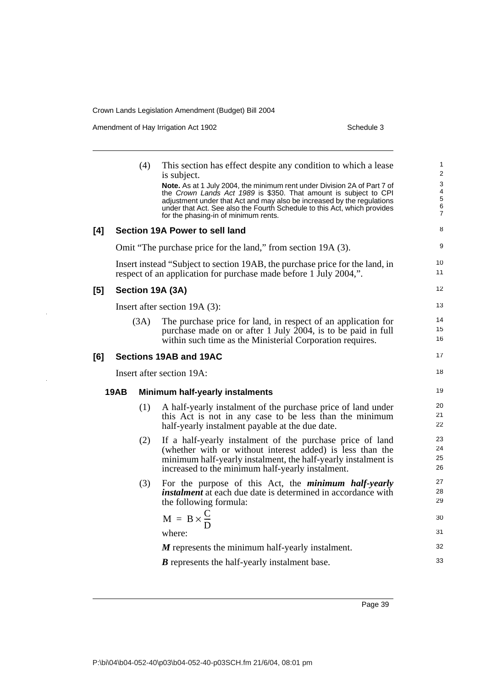Amendment of Hay Irrigation Act 1902 Schedule 3

 $\ddot{\phantom{1}}$ 

 $\ddot{\phantom{1}}$ 

|                                                |  | (4)  | This section has effect despite any condition to which a lease<br>is subject.<br>Note. As at 1 July 2004, the minimum rent under Division 2A of Part 7 of<br>the Crown Lands Act 1989 is \$350. That amount is subject to CPI<br>adjustment under that Act and may also be increased by the regulations<br>under that Act. See also the Fourth Schedule to this Act, which provides<br>for the phasing-in of minimum rents. | 1<br>2<br>3<br>4<br>$\overline{5}$<br>$\,6$<br>$\overline{7}$ |
|------------------------------------------------|--|------|-----------------------------------------------------------------------------------------------------------------------------------------------------------------------------------------------------------------------------------------------------------------------------------------------------------------------------------------------------------------------------------------------------------------------------|---------------------------------------------------------------|
| [4]                                            |  |      | Section 19A Power to sell land                                                                                                                                                                                                                                                                                                                                                                                              | 8                                                             |
|                                                |  |      | Omit "The purchase price for the land," from section 19A (3).                                                                                                                                                                                                                                                                                                                                                               | 9                                                             |
|                                                |  |      | Insert instead "Subject to section 19AB, the purchase price for the land, in<br>respect of an application for purchase made before 1 July 2004,".                                                                                                                                                                                                                                                                           | 10<br>11                                                      |
| $[5]$                                          |  |      | Section 19A (3A)                                                                                                                                                                                                                                                                                                                                                                                                            | 12                                                            |
|                                                |  |      | Insert after section 19A (3):                                                                                                                                                                                                                                                                                                                                                                                               | 13                                                            |
|                                                |  | (3A) | The purchase price for land, in respect of an application for<br>purchase made on or after 1 July 2004, is to be paid in full<br>within such time as the Ministerial Corporation requires.                                                                                                                                                                                                                                  | 14<br>15<br>16                                                |
| [6]                                            |  |      | Sections 19AB and 19AC                                                                                                                                                                                                                                                                                                                                                                                                      | 17                                                            |
|                                                |  |      | Insert after section 19A:                                                                                                                                                                                                                                                                                                                                                                                                   | 18                                                            |
| 19AB<br><b>Minimum half-yearly instalments</b> |  | 19   |                                                                                                                                                                                                                                                                                                                                                                                                                             |                                                               |
|                                                |  | (1)  | A half-yearly instalment of the purchase price of land under<br>this Act is not in any case to be less than the minimum<br>half-yearly instalment payable at the due date.                                                                                                                                                                                                                                                  | 20<br>21<br>22                                                |
|                                                |  | (2)  | If a half-yearly instalment of the purchase price of land<br>(whether with or without interest added) is less than the<br>minimum half-yearly instalment, the half-yearly instalment is<br>increased to the minimum half-yearly instalment.                                                                                                                                                                                 | 23<br>24<br>25<br>26                                          |
|                                                |  | (3)  | For the purpose of this Act, the <i>minimum</i> half-yearly<br>instalment at each due date is determined in accordance with<br>the following formula:                                                                                                                                                                                                                                                                       | 27<br>28<br>29                                                |
|                                                |  |      | $M = B \times \frac{C}{D}$                                                                                                                                                                                                                                                                                                                                                                                                  | 30                                                            |
|                                                |  |      | where:                                                                                                                                                                                                                                                                                                                                                                                                                      | 31                                                            |
|                                                |  |      | M represents the minimum half-yearly instalment.                                                                                                                                                                                                                                                                                                                                                                            | 32                                                            |
|                                                |  |      | <b>B</b> represents the half-yearly instalment base.                                                                                                                                                                                                                                                                                                                                                                        | 33                                                            |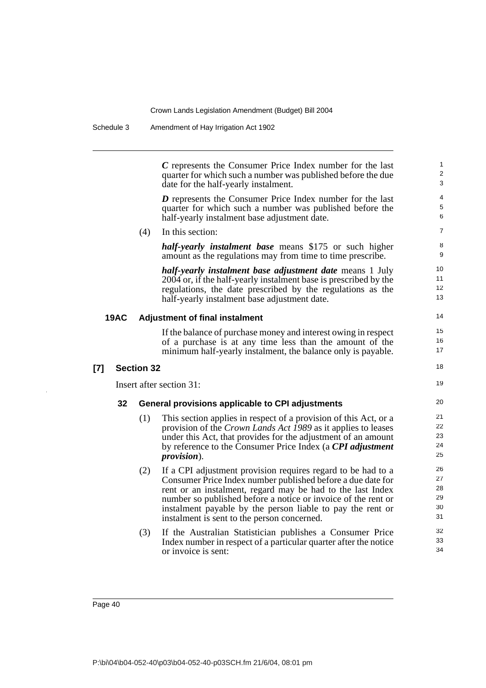Schedule 3 Amendment of Hay Irrigation Act 1902

*C* represents the Consumer Price Index number for the last quarter for which such a number was published before the due date for the half-yearly instalment.

19

*D* represents the Consumer Price Index number for the last quarter for which such a number was published before the half-yearly instalment base adjustment date.

(4) In this section:

*half-yearly instalment base* means \$175 or such higher amount as the regulations may from time to time prescribe.

*half-yearly instalment base adjustment date* means 1 July 2004 or, if the half-yearly instalment base is prescribed by the regulations, the date prescribed by the regulations as the half-yearly instalment base adjustment date.

#### **19AC Adjustment of final instalment**

If the balance of purchase money and interest owing in respect of a purchase is at any time less than the amount of the minimum half-yearly instalment, the balance only is payable.

### **[7] Section 32**

Insert after section 31:

### **32 General provisions applicable to CPI adjustments**

- (1) This section applies in respect of a provision of this Act, or a provision of the *Crown Lands Act 1989* as it applies to leases under this Act, that provides for the adjustment of an amount by reference to the Consumer Price Index (a *CPI adjustment provision*).
- (2) If a CPI adjustment provision requires regard to be had to a Consumer Price Index number published before a due date for rent or an instalment, regard may be had to the last Index number so published before a notice or invoice of the rent or instalment payable by the person liable to pay the rent or instalment is sent to the person concerned.
- (3) If the Australian Statistician publishes a Consumer Price Index number in respect of a particular quarter after the notice or invoice is sent: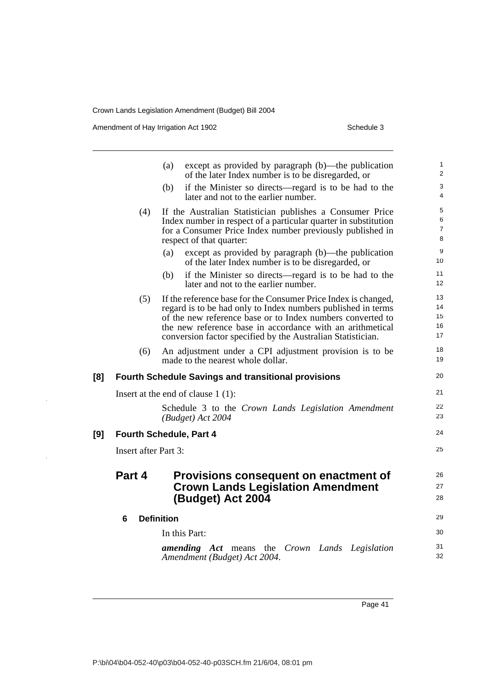Amendment of Hay Irrigation Act 1902 Schedule 3

**[9]** 

|     |                             | except as provided by paragraph (b)—the publication<br>(a)<br>of the later Index number is to be disregarded, or                                                                                                                                                                                                         | $\mathbf{1}$<br>2             |
|-----|-----------------------------|--------------------------------------------------------------------------------------------------------------------------------------------------------------------------------------------------------------------------------------------------------------------------------------------------------------------------|-------------------------------|
|     |                             | if the Minister so directs—regard is to be had to the<br>(b)<br>later and not to the earlier number.                                                                                                                                                                                                                     | 3<br>$\overline{4}$           |
|     | (4)                         | If the Australian Statistician publishes a Consumer Price<br>Index number in respect of a particular quarter in substitution<br>for a Consumer Price Index number previously published in<br>respect of that quarter:                                                                                                    | 5<br>6<br>$\overline{7}$<br>8 |
|     |                             | except as provided by paragraph (b)—the publication<br>(a)<br>of the later Index number is to be disregarded, or                                                                                                                                                                                                         | 9<br>10                       |
|     |                             | if the Minister so directs—regard is to be had to the<br>(b)<br>later and not to the earlier number.                                                                                                                                                                                                                     | 11<br>12                      |
|     | (5)                         | If the reference base for the Consumer Price Index is changed,<br>regard is to be had only to Index numbers published in terms<br>of the new reference base or to Index numbers converted to<br>the new reference base in accordance with an arithmetical<br>conversion factor specified by the Australian Statistician. | 13<br>14<br>15<br>16<br>17    |
|     | (6)                         | An adjustment under a CPI adjustment provision is to be<br>made to the nearest whole dollar.                                                                                                                                                                                                                             | 18<br>19                      |
| [8] |                             | <b>Fourth Schedule Savings and transitional provisions</b>                                                                                                                                                                                                                                                               | 20                            |
|     |                             | Insert at the end of clause $1(1)$ :                                                                                                                                                                                                                                                                                     | 21                            |
|     |                             | Schedule 3 to the Crown Lands Legislation Amendment<br>(Budget) Act 2004                                                                                                                                                                                                                                                 | 22<br>23                      |
| [9] |                             | <b>Fourth Schedule, Part 4</b>                                                                                                                                                                                                                                                                                           | 24                            |
|     | <b>Insert after Part 3:</b> |                                                                                                                                                                                                                                                                                                                          | 25                            |
|     | Part 4                      | Provisions consequent on enactment of<br><b>Crown Lands Legislation Amendment</b><br>(Budget) Act 2004                                                                                                                                                                                                                   | 26<br>27<br>28                |
|     | 6                           | <b>Definition</b>                                                                                                                                                                                                                                                                                                        | 29                            |
|     |                             | In this Part:                                                                                                                                                                                                                                                                                                            | 30                            |
|     |                             | <b>amending</b> Act means the Crown Lands Legislation<br>Amendment (Budget) Act 2004.                                                                                                                                                                                                                                    | 31<br>32                      |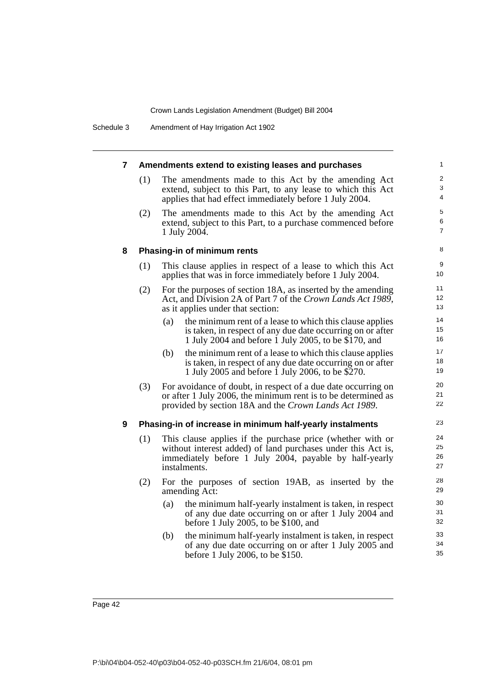Schedule 3 Amendment of Hay Irrigation Act 1902

| 7 | Amendments extend to existing leases and purchases |                                                                                                                                                                                                      | 1                                     |
|---|----------------------------------------------------|------------------------------------------------------------------------------------------------------------------------------------------------------------------------------------------------------|---------------------------------------|
|   | (1)                                                | The amendments made to this Act by the amending Act<br>extend, subject to this Part, to any lease to which this Act<br>applies that had effect immediately before 1 July 2004.                       | $\overline{2}$<br>3<br>$\overline{4}$ |
|   | (2)                                                | The amendments made to this Act by the amending Act<br>extend, subject to this Part, to a purchase commenced before<br>1 July 2004.                                                                  | 5<br>6<br>$\overline{7}$              |
| 8 |                                                    | Phasing-in of minimum rents                                                                                                                                                                          | 8                                     |
|   | (1)                                                | This clause applies in respect of a lease to which this Act<br>applies that was in force immediately before 1 July 2004.                                                                             | 9<br>10 <sup>°</sup>                  |
|   | (2)                                                | For the purposes of section 18A, as inserted by the amending<br>Act, and Division 2A of Part 7 of the Crown Lands Act 1989,<br>as it applies under that section:                                     | 11<br>12<br>13                        |
|   |                                                    | the minimum rent of a lease to which this clause applies<br>(a)<br>is taken, in respect of any due date occurring on or after<br>1 July 2004 and before 1 July 2005, to be \$170, and                | 14<br>15<br>16                        |
|   |                                                    | the minimum rent of a lease to which this clause applies<br>(b)<br>is taken, in respect of any due date occurring on or after<br>1 July 2005 and before 1 July 2006, to be \$270.                    | 17<br>18<br>19                        |
|   | (3)                                                | For avoidance of doubt, in respect of a due date occurring on<br>or after 1 July 2006, the minimum rent is to be determined as<br>provided by section 18A and the Crown Lands Act 1989.              | 20<br>21<br>22                        |
| 9 |                                                    | Phasing-in of increase in minimum half-yearly instalments                                                                                                                                            | 23                                    |
|   | (1)                                                | This clause applies if the purchase price (whether with or<br>without interest added) of land purchases under this Act is,<br>immediately before 1 July 2004, payable by half-yearly<br>instalments. | 24<br>25<br>26<br>27                  |
|   | (2)                                                | For the purposes of section 19AB, as inserted by the<br>amending Act:                                                                                                                                | 28<br>29                              |
|   |                                                    | the minimum half-yearly instalment is taken, in respect<br>(a)<br>of any due date occurring on or after 1 July 2004 and<br>before 1 July 2005, to be \$100, and                                      | 30<br>31<br>32                        |
|   |                                                    | the minimum half-yearly instalment is taken, in respect<br>(b)<br>of any due date occurring on or after 1 July 2005 and<br>before 1 July 2006, to be \$150.                                          | 33<br>34<br>35                        |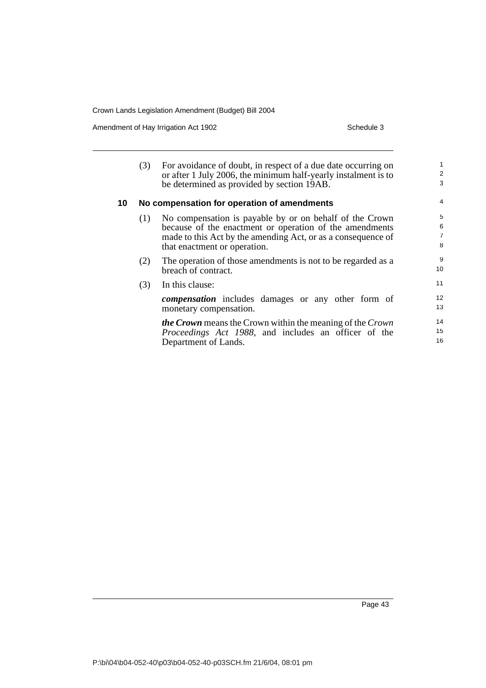Amendment of Hay Irrigation Act 1902 Schedule 3

|    | (3) | For avoidance of doubt, in respect of a due date occurring on<br>or after 1 July 2006, the minimum half-yearly instalment is to<br>be determined as provided by section 19AB.                                      | 1<br>$\overline{\mathbf{c}}$<br>3 |
|----|-----|--------------------------------------------------------------------------------------------------------------------------------------------------------------------------------------------------------------------|-----------------------------------|
| 10 |     | No compensation for operation of amendments                                                                                                                                                                        | $\overline{4}$                    |
|    | (1) | No compensation is payable by or on behalf of the Crown<br>because of the enactment or operation of the amendments<br>made to this Act by the amending Act, or as a consequence of<br>that enactment or operation. | 5<br>$\boldsymbol{6}$<br>7<br>8   |
|    | (2) | The operation of those amendments is not to be regarded as a<br>breach of contract.                                                                                                                                | 9<br>10                           |
|    | (3) | In this clause:                                                                                                                                                                                                    | 11                                |
|    |     | <b><i>compensation</i></b> includes damages or any other form of<br>monetary compensation.                                                                                                                         | 12<br>13                          |
|    |     | <b>the Crown</b> means the Crown within the meaning of the Crown<br><i>Proceedings Act 1988</i> , and includes an officer of the<br>Department of Lands.                                                           | 14<br>15<br>16                    |